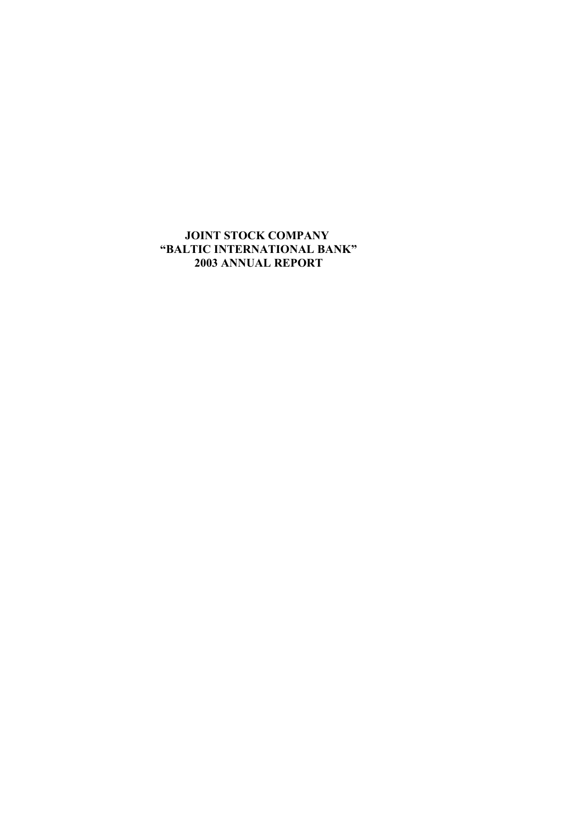# **JOINT STOCK COMPANY "BALTIC INTERNATIONAL BANK" 2003 ANNUAL REPORT**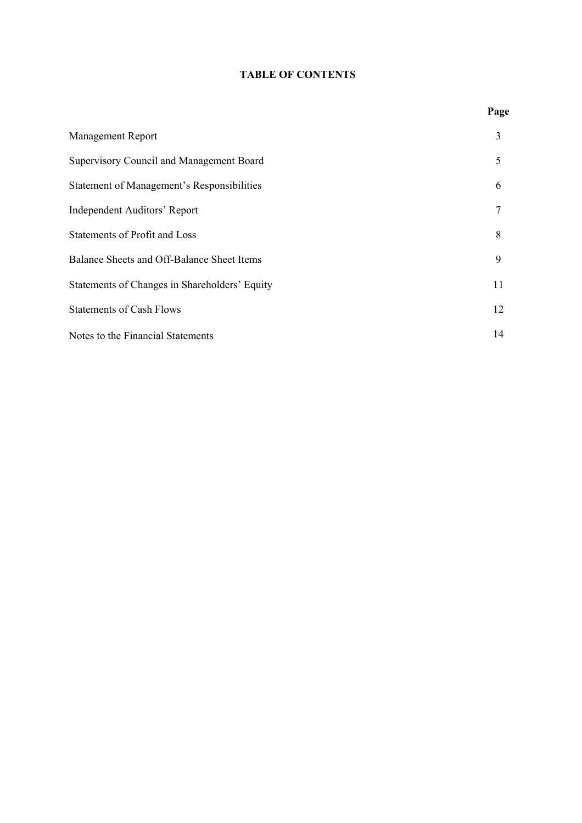# **TABLE OF CONTENTS**

| <b>Management Report</b>                          | 3  |
|---------------------------------------------------|----|
| <b>Supervisory Council and Management Board</b>   | 5  |
| <b>Statement of Management's Responsibilities</b> | 6  |
| <b>Independent Auditors' Report</b>               | 7  |
| <b>Statements of Profit and Loss</b>              | 8  |
| <b>Balance Sheets and Off-Balance Sheet Items</b> | 9  |
| Statements of Changes in Shareholders' Equity     | 11 |
| <b>Statements of Cash Flows</b>                   | 12 |
| Notes to the Financial Statements                 | 14 |

# **Page**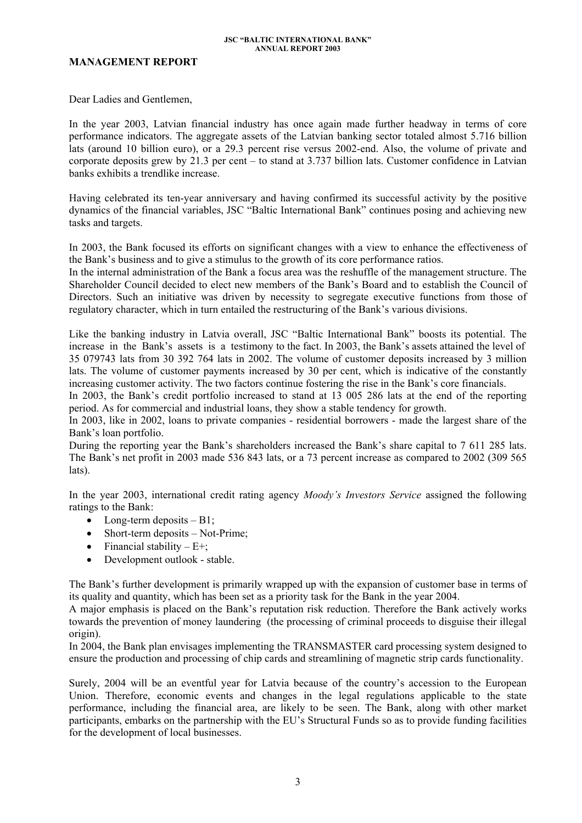### **MANAGEMENT REPORT**

Dear Ladies and Gentlemen,

In the year 2003, Latvian financial industry has once again made further headway in terms of core performance indicators. The aggregate assets of the Latvian banking sector totaled almost 5.716 billion lats (around 10 billion euro), or a 29.3 percent rise versus 2002-end. Also, the volume of private and corporate deposits grew by 21.3 per cent – to stand at 3.737 billion lats. Customer confidence in Latvian banks exhibits a trendlike increase.

Having celebrated its ten-year anniversary and having confirmed its successful activity by the positive dynamics of the financial variables, JSC "Baltic International Bank" continues posing and achieving new tasks and targets.

In 2003, the Bank focused its efforts on significant changes with a view to enhance the effectiveness of the Bank's business and to give a stimulus to the growth of its core performance ratios.

In the internal administration of the Bank a focus area was the reshuffle of the management structure. The Shareholder Council decided to elect new members of the Bank's Board and to establish the Council of Directors. Such an initiative was driven by necessity to segregate executive functions from those of regulatory character, which in turn entailed the restructuring of the Bank's various divisions.

Like the banking industry in Latvia overall, JSC "Baltic International Bank" boosts its potential. The increase in the Bank's assets is a testimony to the fact. In 2003, the Bank's assets attained the level of 35 079743 lats from 30 392 764 lats in 2002. The volume of customer deposits increased by 3 million lats. The volume of customer payments increased by 30 per cent, which is indicative of the constantly increasing customer activity. The two factors continue fostering the rise in the Bank's core financials.

In 2003, the Bank's credit portfolio increased to stand at 13 005 286 lats at the end of the reporting period. As for commercial and industrial loans, they show a stable tendency for growth.

In 2003, like in 2002, loans to private companies - residential borrowers - made the largest share of the Bank's loan portfolio.

During the reporting year the Bank's shareholders increased the Bank's share capital to 7 611 285 lats. The Bank's net profit in 2003 made 536 843 lats, or a 73 percent increase as compared to 2002 (309 565 lats).

In the year 2003, international credit rating agency *Moody's Investors Service* assigned the following ratings to the Bank:

- Long-term deposits  $B1$ ;
- Short-term deposits Not-Prime;
- Financial stability  $-E+$ ;
- Development outlook stable.

The Bank's further development is primarily wrapped up with the expansion of customer base in terms of its quality and quantity, which has been set as a priority task for the Bank in the year 2004.

A major emphasis is placed on the Bank's reputation risk reduction. Therefore the Bank actively works towards the prevention of money laundering (the processing of criminal proceeds to disguise their illegal origin).

In 2004, the Bank plan envisages implementing the TRANSMASTER card processing system designed to ensure the production and processing of chip cards and streamlining of magnetic strip cards functionality.

Surely, 2004 will be an eventful year for Latvia because of the country's accession to the European Union. Therefore, economic events and changes in the legal regulations applicable to the state performance, including the financial area, are likely to be seen. The Bank, along with other market participants, embarks on the partnership with the EU's Structural Funds so as to provide funding facilities for the development of local businesses.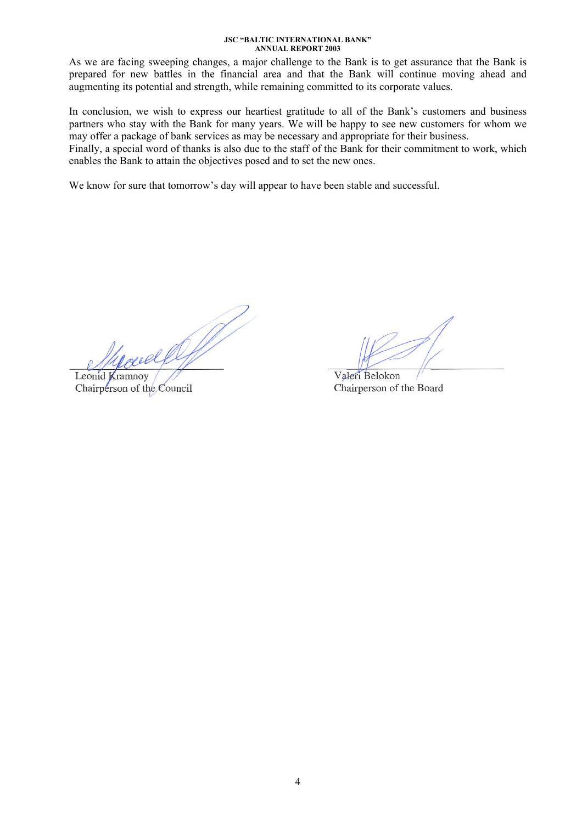As we are facing sweeping changes, a major challenge to the Bank is to get assurance that the Bank is prepared for new battles in the financial area and that the Bank will continue moving ahead and augmenting its potential and strength, while remaining committed to its corporate values.

In conclusion, we wish to express our heartiest gratitude to all of the Bank's customers and business partners who stay with the Bank for many years. We will be happy to see new customers for whom we may offer a package of bank services as may be necessary and appropriate for their business.

Finally, a special word of thanks is also due to the staff of the Bank for their commitment to work, which enables the Bank to attain the objectives posed and to set the new ones.

We know for sure that tomorrow's day will appear to have been stable and successful.

Leonid Kramnoy

Chairperson of the Council

Valeri Belokon Chairperson of the Board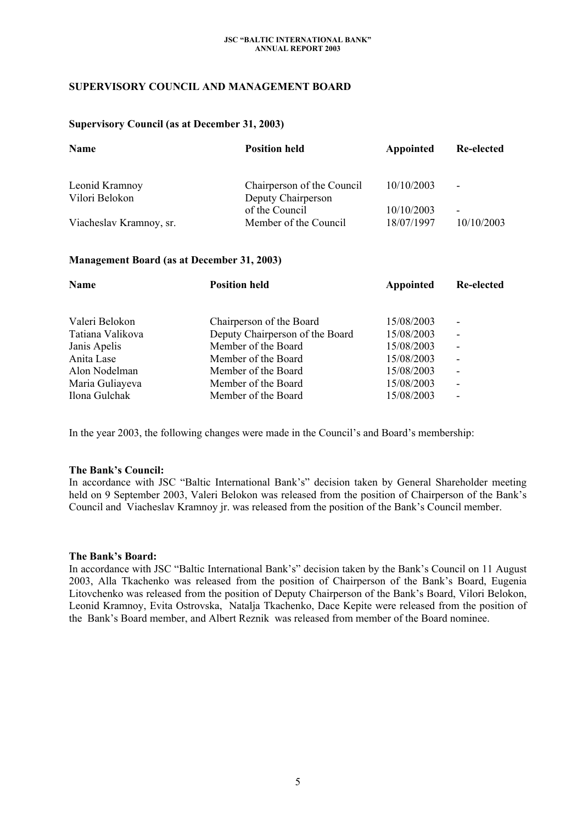### **SUPERVISORY COUNCIL AND MANAGEMENT BOARD**

### **Supervisory Council (as at December 31, 2003)**

| <b>Name</b>             | <b>Position held</b>                 | Appointed  | Re-elected               |
|-------------------------|--------------------------------------|------------|--------------------------|
| Leonid Kramnoy          | Chairperson of the Council           | 10/10/2003 | $\overline{\phantom{a}}$ |
| Vilori Belokon          | Deputy Chairperson<br>of the Council | 10/10/2003 | $\overline{\phantom{0}}$ |
| Viacheslav Kramnoy, sr. | Member of the Council                | 18/07/1997 | 10/10/2003               |

### **Management Board (as at December 31, 2003)**

| <b>Name</b>      | <b>Position held</b>            | Appointed  | Re-elected               |  |
|------------------|---------------------------------|------------|--------------------------|--|
| Valeri Belokon   | Chairperson of the Board        | 15/08/2003 | ۰                        |  |
| Tatiana Valikova | Deputy Chairperson of the Board | 15/08/2003 | $\overline{\phantom{a}}$ |  |
| Janis Apelis     | Member of the Board             | 15/08/2003 | $\overline{\phantom{a}}$ |  |
| Anita Lase       | Member of the Board             | 15/08/2003 | $\overline{\phantom{a}}$ |  |
| Alon Nodelman    | Member of the Board             | 15/08/2003 | $\overline{\phantom{a}}$ |  |
| Maria Guliayeva  | Member of the Board             | 15/08/2003 | $\overline{\phantom{a}}$ |  |
| Ilona Gulchak    | Member of the Board             | 15/08/2003 | ٠                        |  |

In the year 2003, the following changes were made in the Council's and Board's membership:

### **The Bank's Council:**

In accordance with JSC "Baltic International Bank's" decision taken by General Shareholder meeting held on 9 September 2003, Valeri Belokon was released from the position of Chairperson of the Bank's Council and Viacheslav Kramnoy jr. was released from the position of the Bank's Council member.

### **The Bank's Board:**

In accordance with JSC "Baltic International Bank's" decision taken by the Bank's Council on 11 August 2003, Alla Tkachenko was released from the position of Chairperson of the Bank's Board, Eugenia Litovchenko was released from the position of Deputy Chairperson of the Bank's Board, Vilori Belokon, Leonid Kramnoy, Evita Ostrovska, Natalja Tkachenko, Dace Kepite were released from the position of the Bank's Board member, and Albert Reznik was released from member of the Board nominee.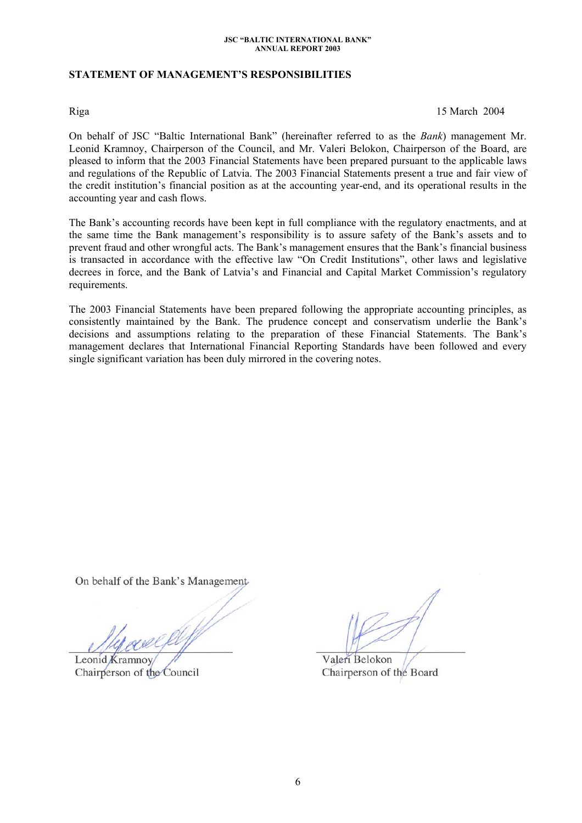### **STATEMENT OF MANAGEMENT'S RESPONSIBILITIES**

Riga 15 March 2004

On behalf of JSC "Baltic International Bank" (hereinafter referred to as the *Bank*) management Mr. Leonid Kramnoy, Chairperson of the Council, and Mr. Valeri Belokon, Chairperson of the Board, are pleased to inform that the 2003 Financial Statements have been prepared pursuant to the applicable laws and regulations of the Republic of Latvia. The 2003 Financial Statements present a true and fair view of the credit institution's financial position as at the accounting year-end, and its operational results in the accounting year and cash flows.

The Bank's accounting records have been kept in full compliance with the regulatory enactments, and at the same time the Bank management's responsibility is to assure safety of the Bank's assets and to prevent fraud and other wrongful acts. The Bank's management ensures that the Bank's financial business is transacted in accordance with the effective law "On Credit Institutions", other laws and legislative decrees in force, and the Bank of Latvia's and Financial and Capital Market Commission's regulatory requirements.

The 2003 Financial Statements have been prepared following the appropriate accounting principles, as consistently maintained by the Bank. The prudence concept and conservatism underlie the Bank's decisions and assumptions relating to the preparation of these Financial Statements. The Bank's management declares that International Financial Reporting Standards have been followed and every single significant variation has been duly mirrored in the covering notes.

On behalf of the Bank's Management

Leonid Kramnoy Chairperson of the Council

Valeri Belokon Chairperson of the Board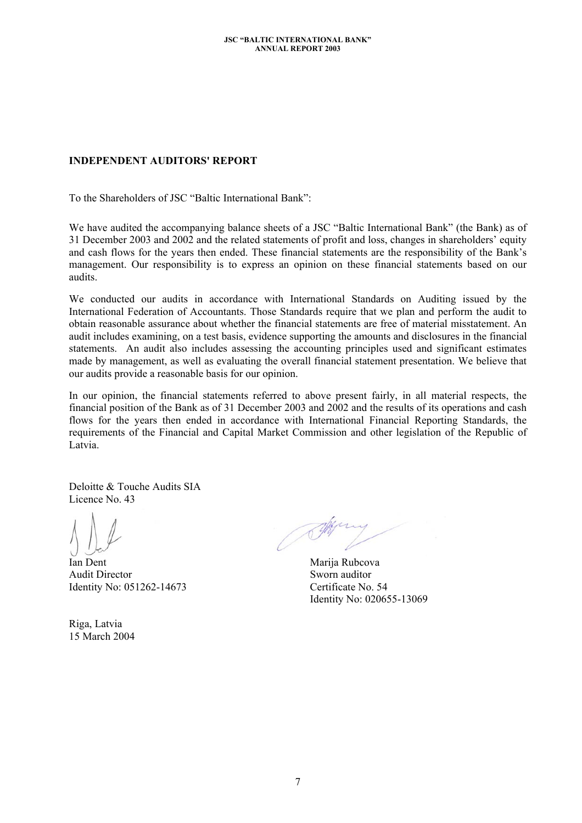## **INDEPENDENT AUDITORS' REPORT**

To the Shareholders of JSC "Baltic International Bank":

We have audited the accompanying balance sheets of a JSC "Baltic International Bank" (the Bank) as of 31 December 2003 and 2002 and the related statements of profit and loss, changes in shareholders' equity and cash flows for the years then ended. These financial statements are the responsibility of the Bank's management. Our responsibility is to express an opinion on these financial statements based on our audits.

We conducted our audits in accordance with International Standards on Auditing issued by the International Federation of Accountants. Those Standards require that we plan and perform the audit to obtain reasonable assurance about whether the financial statements are free of material misstatement. An audit includes examining, on a test basis, evidence supporting the amounts and disclosures in the financial statements. An audit also includes assessing the accounting principles used and significant estimates made by management, as well as evaluating the overall financial statement presentation. We believe that our audits provide a reasonable basis for our opinion.

In our opinion, the financial statements referred to above present fairly, in all material respects, the financial position of the Bank as of 31 December 2003 and 2002 and the results of its operations and cash flows for the years then ended in accordance with International Financial Reporting Standards, the requirements of the Financial and Capital Market Commission and other legislation of the Republic of Latvia.

Deloitte & Touche Audits SIA Licence No. 43

Ian Dent Audit Director Identity No: 051262-14673

Riga, Latvia 15 March 2004

**SHA** 

Marija Rubcova Sworn auditor Certificate No. 54 Identity No: 020655-13069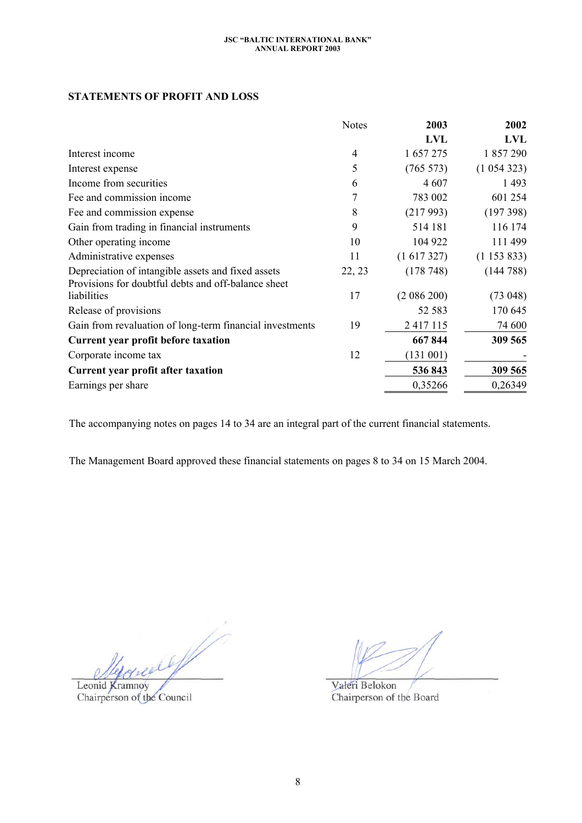### **STATEMENTS OF PROFIT AND LOSS**

|                                                                                                           | <b>Notes</b> | 2003            | 2002       |
|-----------------------------------------------------------------------------------------------------------|--------------|-----------------|------------|
|                                                                                                           |              | <b>LVL</b>      | <b>LVL</b> |
| Interest income                                                                                           | 4            | 1 657 275       | 1 857 290  |
| Interest expense                                                                                          | 5            | $(765\;573)$    | (1054323)  |
| Income from securities                                                                                    | 6            | 4 607           | 1493       |
| Fee and commission income                                                                                 | 7            | 783 002         | 601 254    |
| Fee and commission expense                                                                                | 8            | (217993)        | (197398)   |
| Gain from trading in financial instruments                                                                | 9            | 514 181         | 116 174    |
| Other operating income                                                                                    | 10           | 104 922         | 111 499    |
| Administrative expenses                                                                                   | 11           | $(1\ 617\ 327)$ | (1153833)  |
| Depreciation of intangible assets and fixed assets<br>Provisions for doubtful debts and off-balance sheet | 22, 23       | (178748)        | (144788)   |
| liabilities                                                                                               | 17           | (2086200)       | (73048)    |
| Release of provisions                                                                                     |              | 52 583          | 170 645    |
| Gain from revaluation of long-term financial investments                                                  | 19           | 2 4 1 7 1 1 5   | 74 600     |
| <b>Current year profit before taxation</b>                                                                |              | 667844          | 309 565    |
| Corporate income tax                                                                                      | 12           | (131 001)       |            |
| Current year profit after taxation                                                                        |              | 536843          | 309 565    |
| Earnings per share                                                                                        |              | 0,35266         | 0,26349    |

The accompanying notes on pages 14 to 34 are an integral part of the current financial statements.

The Management Board approved these financial statements on pages 8 to 34 on 15 March 2004.

W. reefly

Leonid Kramnoy Chairperson of the Council

Valeri Belokon Chairperson of the Board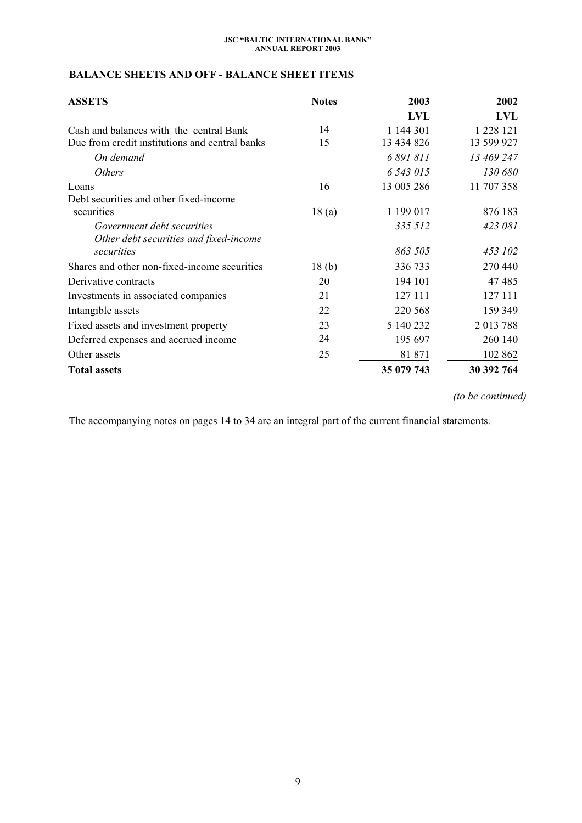## **BALANCE SHEETS AND OFF - BALANCE SHEET ITEMS**

| <b>ASSETS</b>                                  | <b>Notes</b>      | 2003       | 2002       |
|------------------------------------------------|-------------------|------------|------------|
|                                                |                   | <b>LVL</b> | <b>LVL</b> |
| Cash and balances with the central Bank        | 14                | 1 144 301  | 1 228 121  |
| Due from credit institutions and central banks | 15                | 13 434 826 | 13 599 927 |
| On demand                                      |                   | 6 891 811  | 13 469 247 |
| <b>Others</b>                                  |                   | 6 543 015  | 130 680    |
| Loans                                          | 16                | 13 005 286 | 11 707 358 |
| Debt securities and other fixed-income         |                   |            |            |
| securities                                     | 18(a)             | 1 199 017  | 876 183    |
| Government debt securities                     |                   | 335 512    | 423 081    |
| Other debt securities and fixed-income         |                   |            |            |
| securities                                     |                   | 863 505    | 453 102    |
| Shares and other non-fixed-income securities   | 18 <sub>(b)</sub> | 336 733    | 270 440    |
| Derivative contracts                           | 20                | 194 101    | 47485      |
| Investments in associated companies            | 21                | 127 111    | 127 111    |
| Intangible assets                              | 22                | 220 568    | 159 349    |
| Fixed assets and investment property           | 23                | 5 140 232  | 2 013 788  |
| Deferred expenses and accrued income           | 24                | 195 697    | 260 140    |
| Other assets                                   | 25                | 81 871     | 102 862    |
| <b>Total assets</b>                            |                   | 35 079 743 | 30 392 764 |

*(to be continued)*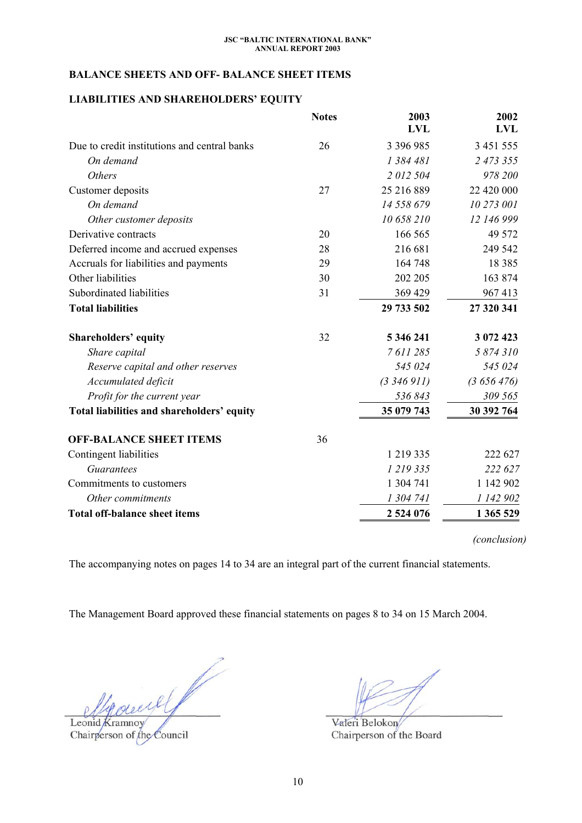## **BALANCE SHEETS AND OFF- BALANCE SHEET ITEMS**

## **LIABILITIES AND SHAREHOLDERS' EQUITY**

|                                              | <b>Notes</b> | 2003<br><b>LVL</b> | 2002<br><b>LVL</b> |
|----------------------------------------------|--------------|--------------------|--------------------|
| Due to credit institutions and central banks | 26           | 3 396 985          | 3 451 555          |
| On demand                                    |              | 1 384 481          | 2 473 355          |
| <b>Others</b>                                |              | 2012504            | 978 200            |
| Customer deposits                            | 27           | 25 216 889         | 22 420 000         |
| On demand                                    |              | 14 558 679         | 10 273 001         |
| Other customer deposits                      |              | 10 658 210         | 12 146 999         |
| Derivative contracts                         | 20           | 166 565            | 49 572             |
| Deferred income and accrued expenses         | 28           | 216 681            | 249 542            |
| Accruals for liabilities and payments        | 29           | 164 748            | 18 3 8 5           |
| Other liabilities                            | 30           | 202 205            | 163 874            |
| Subordinated liabilities                     | 31           | 369 429            | 967413             |
| <b>Total liabilities</b>                     |              | 29 733 502         | 27 320 341         |
| <b>Shareholders' equity</b>                  | 32           | 5 346 241          | 3 072 423          |
| Share capital                                |              | 7 611 285          | 5 874 310          |
| Reserve capital and other reserves           |              | 545 024            | 545 024            |
| Accumulated deficit                          |              | (3, 346, 911)      | (3656476)          |
| Profit for the current year                  |              | 536843             | 309 565            |
| Total liabilities and shareholders' equity   |              | 35 079 743         | 30 392 764         |
| <b>OFF-BALANCE SHEET ITEMS</b>               | 36           |                    |                    |
| Contingent liabilities                       |              | 1 219 335          | 222 627            |
| Guarantees                                   |              | 1 219 335          | 222 627            |
| Commitments to customers                     |              | 1 304 741          | 1 142 902          |
| Other commitments                            |              | 1 304 741          | 1 142 902          |
| <b>Total off-balance sheet items</b>         |              | 2 524 076          | 1 365 529          |

*(conclusion)* 

The accompanying notes on pages 14 to 34 are an integral part of the current financial statements.

The Management Board approved these financial statements on pages 8 to 34 on 15 March 2004.

V cecil

Leonid Kramnoy Chairperson of the Council

Valeri Belokon Chairperson of the Board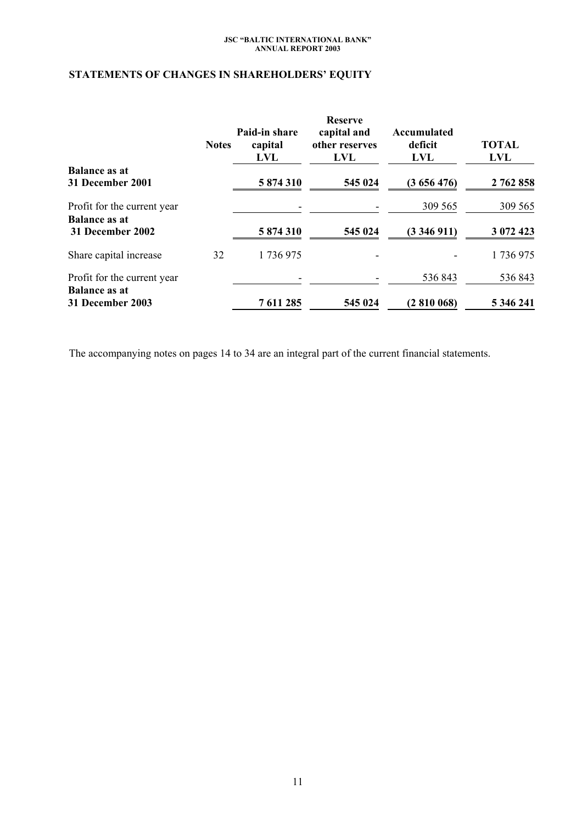# **STATEMENTS OF CHANGES IN SHAREHOLDERS' EQUITY**

|                                                     | <b>Notes</b> | Paid-in share<br>capital<br>LVL | <b>Reserve</b><br>capital and<br>other reserves<br><b>LVL</b> | Accumulated<br>deficit<br><b>LVL</b> | <b>TOTAL</b><br><b>LVL</b> |
|-----------------------------------------------------|--------------|---------------------------------|---------------------------------------------------------------|--------------------------------------|----------------------------|
| <b>Balance as at</b><br>31 December 2001            |              | 5 874 310                       | 545 024                                                       | (3656476)                            | 2 762 858                  |
| Profit for the current year<br><b>Balance as at</b> |              |                                 |                                                               | 309 565                              | 309 565                    |
| 31 December 2002                                    |              | 5 874 310                       | 545 024                                                       | (3346911)                            | 3 072 423                  |
| Share capital increase                              | 32           | 1736975                         |                                                               |                                      | 1736975                    |
| Profit for the current year                         |              |                                 |                                                               | 536 843                              | 536843                     |
| <b>Balance as at</b><br>31 December 2003            |              | 7 611 285                       | 545 024                                                       | (2810068)                            | 5 346 241                  |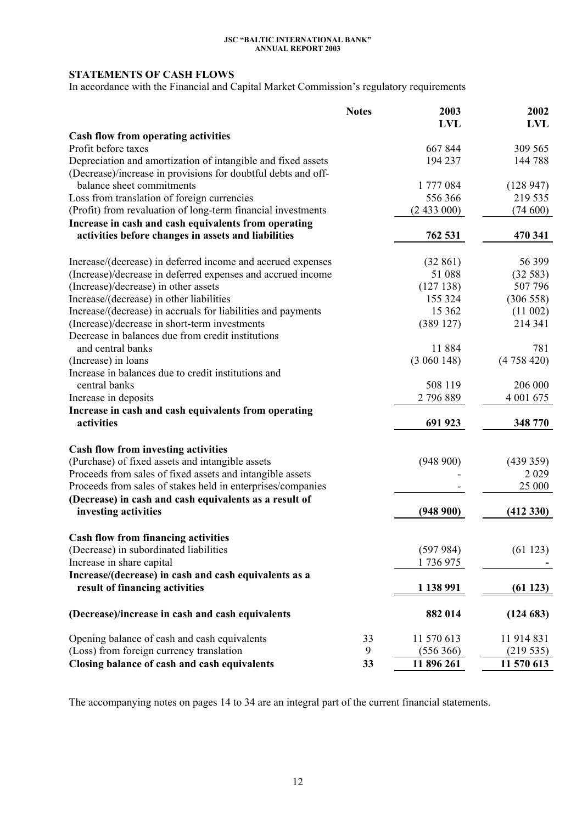# **STATEMENTS OF CASH FLOWS**

In accordance with the Financial and Capital Market Commission's regulatory requirements

|                                                                                            | <b>Notes</b> | 2003       | 2002       |
|--------------------------------------------------------------------------------------------|--------------|------------|------------|
|                                                                                            |              | <b>LVL</b> | <b>LVL</b> |
| <b>Cash flow from operating activities</b><br>Profit before taxes                          |              | 667 844    | 309 565    |
|                                                                                            |              | 194 237    | 144 788    |
| Depreciation and amortization of intangible and fixed assets                               |              |            |            |
| (Decrease)/increase in provisions for doubtful debts and off-<br>balance sheet commitments |              | 1 777 084  | (128947)   |
| Loss from translation of foreign currencies                                                |              | 556 366    | 219 535    |
| (Profit) from revaluation of long-term financial investments                               |              | (2433000)  | (74600)    |
| Increase in cash and cash equivalents from operating                                       |              |            |            |
| activities before changes in assets and liabilities                                        |              | 762 531    | 470 341    |
|                                                                                            |              |            |            |
| Increase/(decrease) in deferred income and accrued expenses                                |              | (32861)    | 56 399     |
| (Increase)/decrease in deferred expenses and accrued income                                |              | 51 088     | (32583)    |
| (Increase)/decrease) in other assets                                                       |              | (127138)   | 507 796    |
| Increase/(decrease) in other liabilities                                                   |              | 155 324    | (306558)   |
| Increase/(decrease) in accruals for liabilities and payments                               |              | 15 3 62    | (11002)    |
| (Increase)/decrease in short-term investments                                              |              | (389127)   | 214 341    |
| Decrease in balances due from credit institutions                                          |              |            |            |
| and central banks                                                                          |              | 11 884     | 781        |
| (Increase) in loans                                                                        |              | (3060148)  | (4758420)  |
| Increase in balances due to credit institutions and                                        |              |            |            |
| central banks                                                                              |              | 508 119    | 206 000    |
| Increase in deposits                                                                       |              | 2 796 889  | 4 001 675  |
| Increase in cash and cash equivalents from operating                                       |              |            |            |
| activities                                                                                 |              | 691 923    | 348 770    |
| Cash flow from investing activities                                                        |              |            |            |
| (Purchase) of fixed assets and intangible assets                                           |              | (948900)   | (439359)   |
| Proceeds from sales of fixed assets and intangible assets                                  |              |            | 2029       |
| Proceeds from sales of stakes held in enterprises/companies                                |              |            | 25 000     |
| (Decrease) in cash and cash equivalents as a result of                                     |              |            |            |
| investing activities                                                                       |              | (948900)   | (412 330)  |
|                                                                                            |              |            |            |
| <b>Cash flow from financing activities</b>                                                 |              |            |            |
| (Decrease) in subordinated liabilities                                                     |              | (597984)   | (61123)    |
| Increase in share capital                                                                  |              | 1736975    |            |
| Increase/(decrease) in cash and cash equivalents as a                                      |              |            |            |
| result of financing activities                                                             |              | 1 138 991  | (61123)    |
| (Decrease)/increase in cash and cash equivalents                                           |              | 882 014    | (124683)   |
| Opening balance of cash and cash equivalents                                               | 33           | 11 570 613 | 11 914 831 |
| (Loss) from foreign currency translation                                                   | 9            | (556 366)  | (219535)   |
| Closing balance of cash and cash equivalents                                               | 33           | 11 896 261 | 11 570 613 |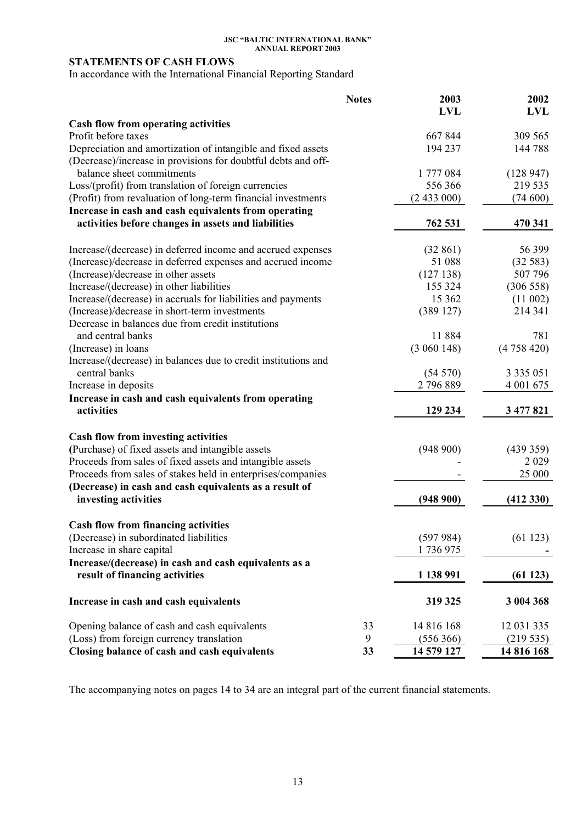## **STATEMENTS OF CASH FLOWS**

In accordance with the International Financial Reporting Standard

|                                                                | <b>Notes</b> | 2003       | 2002          |
|----------------------------------------------------------------|--------------|------------|---------------|
|                                                                |              | <b>LVL</b> | <b>LVL</b>    |
| <b>Cash flow from operating activities</b>                     |              |            |               |
| Profit before taxes                                            |              | 667844     | 309 565       |
| Depreciation and amortization of intangible and fixed assets   |              | 194 237    | 144788        |
| (Decrease)/increase in provisions for doubtful debts and off-  |              |            |               |
| balance sheet commitments                                      |              | 1 777 084  | (128947)      |
| Loss/(profit) from translation of foreign currencies           |              | 556 366    | 219 535       |
| (Profit) from revaluation of long-term financial investments   |              | (2433000)  | (74600)       |
| Increase in cash and cash equivalents from operating           |              |            |               |
| activities before changes in assets and liabilities            |              | 762 531    | 470 341       |
| Increase/(decrease) in deferred income and accrued expenses    |              | (32861)    | 56 399        |
| (Increase)/decrease in deferred expenses and accrued income    |              | 51 088     | (32583)       |
| (Increase)/decrease in other assets                            |              | (127138)   | 507 796       |
| Increase/(decrease) in other liabilities                       |              | 155 324    | (306558)      |
| Increase/(decrease) in accruals for liabilities and payments   |              | 15 3 62    | (11 002)      |
| (Increase)/decrease in short-term investments                  |              | (389127)   | 214 341       |
| Decrease in balances due from credit institutions              |              |            |               |
| and central banks                                              |              | 11 884     | 781           |
| (Increase) in loans                                            |              | (3060148)  | (4758420)     |
| Increase/(decrease) in balances due to credit institutions and |              |            |               |
| central banks                                                  |              | (54570)    | 3 3 3 5 0 5 1 |
| Increase in deposits                                           |              | 2 796 889  | 4 001 675     |
| Increase in cash and cash equivalents from operating           |              |            |               |
| activities                                                     |              | 129 234    | 3 477 821     |
| Cash flow from investing activities                            |              |            |               |
| (Purchase) of fixed assets and intangible assets               |              | (948900)   | (439 359)     |
| Proceeds from sales of fixed assets and intangible assets      |              |            | 2029          |
| Proceeds from sales of stakes held in enterprises/companies    |              |            | 25 000        |
| (Decrease) in cash and cash equivalents as a result of         |              |            |               |
| investing activities                                           |              | (948900)   | (412 330)     |
|                                                                |              |            |               |
| <b>Cash flow from financing activities</b>                     |              |            |               |
| (Decrease) in subordinated liabilities                         |              | (597984)   | (61123)       |
| Increase in share capital                                      |              | 1736975    |               |
| Increase/(decrease) in cash and cash equivalents as a          |              |            |               |
| result of financing activities                                 |              | 1 138 991  | (61123)       |
| Increase in cash and cash equivalents                          |              | 319 325    | 3 004 368     |
| Opening balance of cash and cash equivalents                   | 33           | 14 816 168 | 12 031 335    |
| (Loss) from foreign currency translation                       | 9            | (556 366)  | (219535)      |
| Closing balance of cash and cash equivalents                   | 33           | 14 579 127 | 14 816 168    |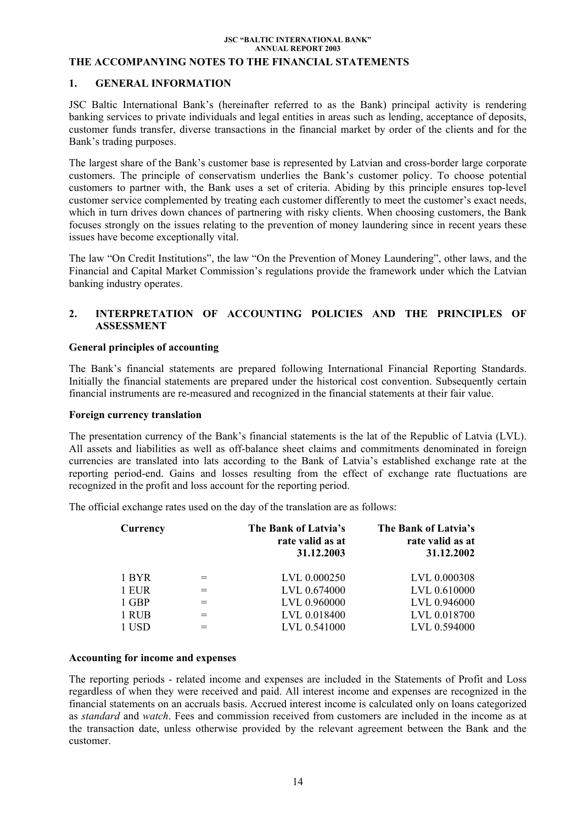### **THE ACCOMPANYING NOTES TO THE FINANCIAL STATEMENTS**

### **1. GENERAL INFORMATION**

JSC Baltic International Bank's (hereinafter referred to as the Bank) principal activity is rendering banking services to private individuals and legal entities in areas such as lending, acceptance of deposits, customer funds transfer, diverse transactions in the financial market by order of the clients and for the Bank's trading purposes.

The largest share of the Bank's customer base is represented by Latvian and cross-border large corporate customers. The principle of conservatism underlies the Bank's customer policy. To choose potential customers to partner with, the Bank uses a set of criteria. Abiding by this principle ensures top-level customer service complemented by treating each customer differently to meet the customer's exact needs, which in turn drives down chances of partnering with risky clients. When choosing customers, the Bank focuses strongly on the issues relating to the prevention of money laundering since in recent years these issues have become exceptionally vital.

The law "On Credit Institutions", the law "On the Prevention of Money Laundering", other laws, and the Financial and Capital Market Commission's regulations provide the framework under which the Latvian banking industry operates.

### **2. INTERPRETATION OF АCCOUNTING POLICIES АND THE PRINCIPLES OF ASSESSMENT**

### **General principles of accounting**

The Bank's financial statements are prepared following International Financial Reporting Standards. Initially the financial statements are prepared under the historical cost convention. Subsequently certain financial instruments are re-measured and recognized in the financial statements at their fair value.

### **Foreign currency translation**

The presentation currency of the Bank's financial statements is the lat of the Republic of Latvia (LVL). All assets and liabilities as well as off-balance sheet claims and commitments denominated in foreign currencies are translated into lats according to the Bank of Latvia's established exchange rate at the reporting period-end. Gains and losses resulting from the effect of exchange rate fluctuations are recognized in the profit and loss account for the reporting period.

The official exchange rates used on the day of the translation are as follows:

|     | The Bank of Latvia's<br>rate valid as at<br>31.12.2003 | The Bank of Latvia's<br>rate valid as at<br>31.12.2002 |
|-----|--------------------------------------------------------|--------------------------------------------------------|
|     | LVL 0.000250                                           | LVL 0.000308                                           |
| $=$ | LVL 0.674000                                           | LVL 0.610000                                           |
| $=$ | LVL 0.960000                                           | LVL 0.946000                                           |
| $=$ | LVL 0.018400                                           | LVL 0.018700                                           |
|     | LVL 0.541000                                           | LVL 0.594000                                           |
|     |                                                        |                                                        |

### **Accounting for income and expenses**

The reporting periods - related income and expenses are included in the Statements of Profit and Loss regardless of when they were received and paid. All interest income and expenses are recognized in the financial statements on an accruals basis. Accrued interest income is calculated only on loans categorized as *standard* and *watch*. Fees and commission received from customers are included in the income as at the transaction date, unless otherwise provided by the relevant agreement between the Bank and the customer.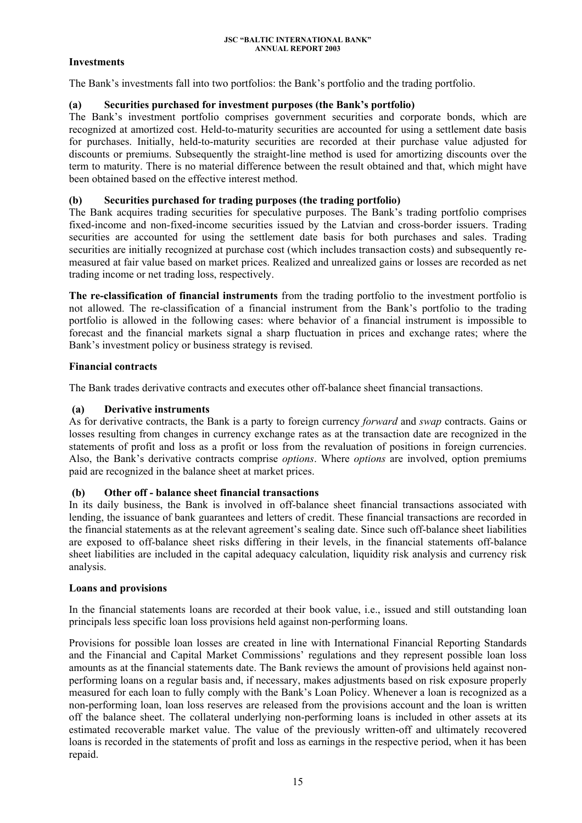## **Investments**

The Bank's investments fall into two portfolios: the Bank's portfolio and the trading portfolio.

## **(a) Securities purchased for investment purposes (the Bank's portfolio)**

The Bank's investment portfolio comprises government securities and corporate bonds, which are recognized at amortized cost. Held-to-maturity securities are accounted for using a settlement date basis for purchases. Initially, held-to-maturity securities are recorded at their purchase value adjusted for discounts or premiums. Subsequently the straight-line method is used for amortizing discounts over the term to maturity. There is no material difference between the result obtained and that, which might have been obtained based on the effective interest method.

## **(b) Securities purchased for trading purposes (the trading portfolio)**

The Bank acquires trading securities for speculative purposes. The Bank's trading portfolio comprises fixed-income and non-fixed-income securities issued by the Latvian and cross-border issuers. Trading securities are accounted for using the settlement date basis for both purchases and sales. Trading securities are initially recognized at purchase cost (which includes transaction costs) and subsequently remeasured at fair value based on market prices. Realized and unrealized gains or losses are recorded as net trading income or net trading loss, respectively.

**The re-classification of financial instruments** from the trading portfolio to the investment portfolio is not allowed. The re-classification of a financial instrument from the Bank's portfolio to the trading portfolio is allowed in the following cases: where behavior of a financial instrument is impossible to forecast and the financial markets signal a sharp fluctuation in prices and exchange rates; where the Bank's investment policy or business strategy is revised.

## **Financial contracts**

The Bank trades derivative contracts and executes other off-balance sheet financial transactions.

## **(a) Derivative instruments**

As for derivative contracts, the Bank is a party to foreign currency *forward* and *swap* contracts. Gains or losses resulting from changes in currency exchange rates as at the transaction date are recognized in the statements of profit and loss as a profit or loss from the revaluation of positions in foreign currencies. Also, the Bank's derivative contracts comprise *options*. Where *options* are involved, option premiums paid are recognized in the balance sheet at market prices.

## **(b) Other off - balance sheet financial transactions**

In its daily business, the Bank is involved in off-balance sheet financial transactions associated with lending, the issuance of bank guarantees and letters of credit. These financial transactions are recorded in the financial statements as at the relevant agreement's sealing date. Since such off-balance sheet liabilities are exposed to off-balance sheet risks differing in their levels, in the financial statements off-balance sheet liabilities are included in the capital adequacy calculation, liquidity risk analysis and currency risk analysis.

## **Loans and provisions**

In the financial statements loans are recorded at their book value, i.e., issued and still outstanding loan principals less specific loan loss provisions held against non-performing loans.

Provisions for possible loan losses are created in line with International Financial Reporting Standards and the Financial and Capital Market Commissions' regulations and they represent possible loan loss amounts as at the financial statements date. The Bank reviews the amount of provisions held against nonperforming loans on a regular basis and, if necessary, makes adjustments based on risk exposure properly measured for each loan to fully comply with the Bank's Loan Policy. Whenever a loan is recognized as a non-performing loan, loan loss reserves are released from the provisions account and the loan is written off the balance sheet. The collateral underlying non-performing loans is included in other assets at its estimated recoverable market value. The value of the previously written-off and ultimately recovered loans is recorded in the statements of profit and loss as earnings in the respective period, when it has been repaid.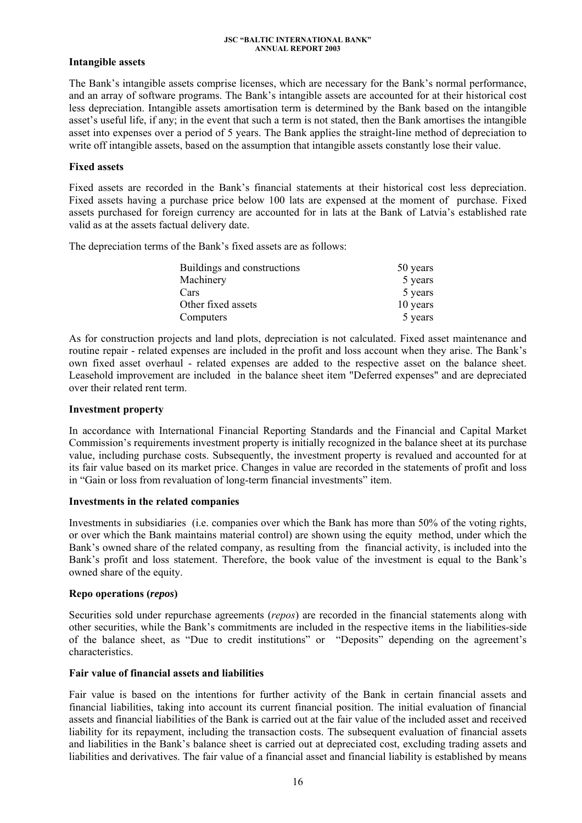## **Intangible assets**

The Bank's intangible assets comprise licenses, which are necessary for the Bank's normal performance, and an array of software programs. The Bank's intangible assets are accounted for at their historical cost less depreciation. Intangible assets amortisation term is determined by the Bank based on the intangible asset's useful life, if any; in the event that such a term is not stated, then the Bank amortises the intangible asset into expenses over a period of 5 years. The Bank applies the straight-line method of depreciation to write off intangible assets, based on the assumption that intangible assets constantly lose their value.

### **Fixed assets**

Fixed assets are recorded in the Bank's financial statements at their historical cost less depreciation. Fixed assets having a purchase price below 100 lats are expensed at the moment of purchase. Fixed assets purchased for foreign currency are accounted for in lats at the Bank of Latvia's established rate valid as at the assets factual delivery date.

The depreciation terms of the Bank's fixed assets are as follows:

| Buildings and constructions | 50 years |
|-----------------------------|----------|
| Machinery                   | 5 years  |
| Cars                        | 5 years  |
| Other fixed assets          | 10 years |
| Computers                   | 5 years  |

As for construction projects and land plots, depreciation is not calculated. Fixed asset maintenance and routine repair - related expenses are included in the profit and loss account when they arise. The Bank's own fixed asset overhaul - related expenses are added to the respective asset on the balance sheet. Leasehold improvement are included in the balance sheet item "Deferred expenses" and are depreciated over their related rent term.

### **Investment property**

In accordance with International Financial Reporting Standards and the Financial and Capital Market Commission's requirements investment property is initially recognized in the balance sheet at its purchase value, including purchase costs. Subsequently, the investment property is revalued and accounted for at its fair value based on its market price. Changes in value are recorded in the statements of profit and loss in "Gain or loss from revaluation of long-term financial investments" item.

### **Investments in the related companies**

Investments in subsidiaries (i.e. companies over which the Bank has more than 50% of the voting rights, or over which the Bank maintains material control) are shown using the equity method, under which the Bank's owned share of the related company, as resulting from the financial activity, is included into the Bank's profit and loss statement. Therefore, the book value of the investment is equal to the Bank's owned share of the equity.

### **Repo operations (***repos***)**

Securities sold under repurchase agreements (*repos*) are recorded in the financial statements along with other securities, while the Bank's commitments are included in the respective items in the liabilities-side of the balance sheet, as "Due to credit institutions" or "Deposits" depending on the agreement's characteristics.

### **Fair value of financial assets and liabilities**

Fair value is based on the intentions for further activity of the Bank in certain financial assets and financial liabilities, taking into account its current financial position. The initial evaluation of financial assets and financial liabilities of the Bank is carried out at the fair value of the included asset and received liability for its repayment, including the transaction costs. The subsequent evaluation of financial assets and liabilities in the Bank's balance sheet is carried out at depreciated cost, excluding trading assets and liabilities and derivatives. The fair value of a financial asset and financial liability is established by means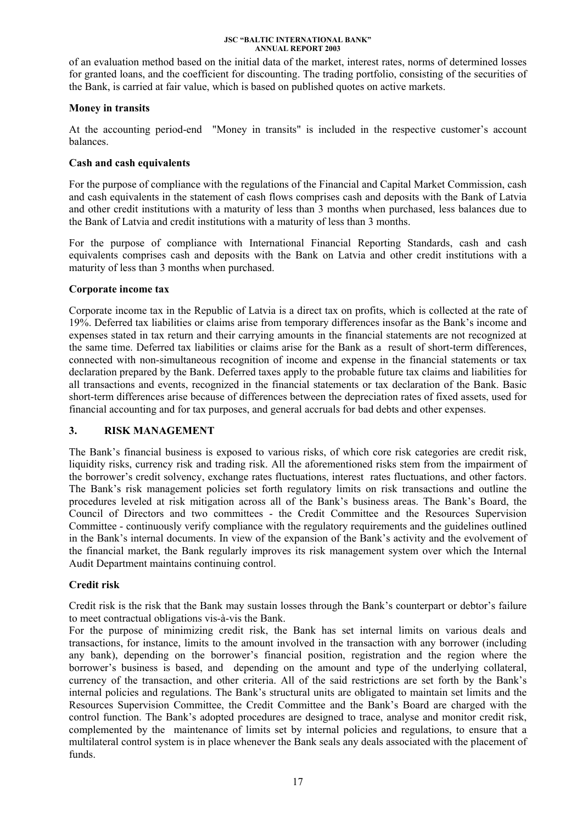of an evaluation method based on the initial data of the market, interest rates, norms of determined losses for granted loans, and the coefficient for discounting. The trading portfolio, consisting of the securities of the Bank, is carried at fair value, which is based on published quotes on active markets.

## **Money in transits**

At the accounting period-end "Money in transits" is included in the respective customer's account balances.

## **Cash and cash equivalents**

For the purpose of compliance with the regulations of the Financial and Capital Market Commission, cash and cash equivalents in the statement of cash flows comprises cash and deposits with the Bank of Latvia and other credit institutions with a maturity of less than 3 months when purchased, less balances due to the Bank of Latvia and credit institutions with a maturity of less than 3 months.

For the purpose of compliance with International Financial Reporting Standards, cash and cash equivalents comprises cash and deposits with the Bank on Latvia and other credit institutions with a maturity of less than 3 months when purchased.

## **Corporate income tax**

Corporate income tax in the Republic of Latvia is a direct tax on profits, which is collected at the rate of 19%. Deferred tax liabilities or claims arise from temporary differences insofar as the Bank's income and expenses stated in tax return and their carrying amounts in the financial statements are not recognized at the same time. Deferred tax liabilities or claims arise for the Bank as a result of short-term differences, connected with non-simultaneous recognition of income and expense in the financial statements or tax declaration prepared by the Bank. Deferred taxes apply to the probable future tax claims and liabilities for all transactions and events, recognized in the financial statements or tax declaration of the Bank. Basic short-term differences arise because of differences between the depreciation rates of fixed assets, used for financial accounting and for tax purposes, and general accruals for bad debts and other expenses.

## **3. RISK MANAGEMENT**

The Bank's financial business is exposed to various risks, of which core risk categories are credit risk, liquidity risks, currency risk and trading risk. All the aforementioned risks stem from the impairment of the borrower's credit solvency, exchange rates fluctuations, interest rates fluctuations, and other factors. The Bank's risk management policies set forth regulatory limits on risk transactions and outline the procedures leveled at risk mitigation across all of the Bank's business areas. The Bank's Board, the Council of Directors and two committees - the Credit Committee and the Resources Supervision Committee - continuously verify compliance with the regulatory requirements and the guidelines outlined in the Bank's internal documents. In view of the expansion of the Bank's activity and the evolvement of the financial market, the Bank regularly improves its risk management system over which the Internal Audit Department maintains continuing control.

## **Credit risk**

Credit risk is the risk that the Bank may sustain losses through the Bank's counterpart or debtor's failure to meet contractual obligations vis-à-vis the Bank.

For the purpose of minimizing credit risk, the Bank has set internal limits on various deals and transactions, for instance, limits to the amount involved in the transaction with any borrower (including any bank), depending on the borrower's financial position, registration and the region where the borrower's business is based, and depending on the amount and type of the underlying collateral, currency of the transaction, and other criteria. All of the said restrictions are set forth by the Bank's internal policies and regulations. The Bank's structural units are obligated to maintain set limits and the Resources Supervision Committee, the Credit Committee and the Bank's Board are charged with the control function. The Bank's adopted procedures are designed to trace, analyse and monitor credit risk, complemented by the maintenance of limits set by internal policies and regulations, to ensure that a multilateral control system is in place whenever the Bank seals any deals associated with the placement of funds.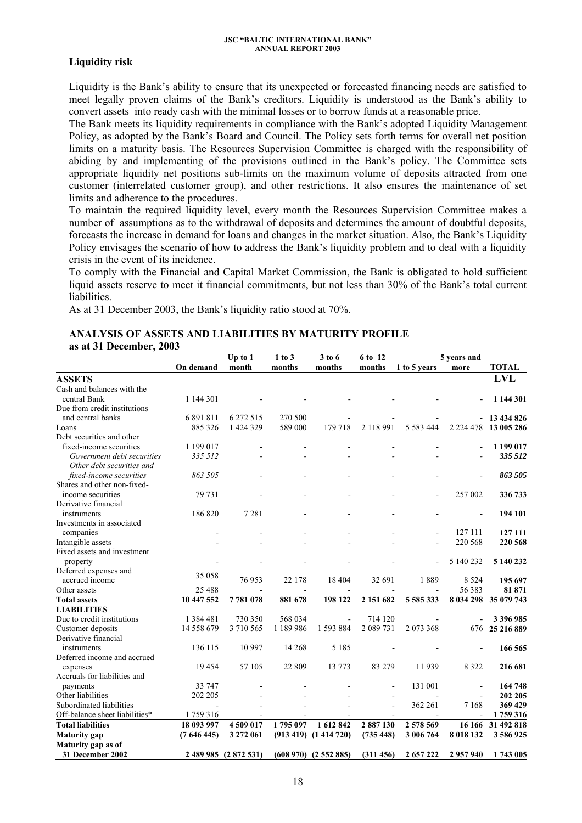### **Liquidity risk**

Liquidity is the Bank's ability to ensure that its unexpected or forecasted financing needs are satisfied to meet legally proven claims of the Bank's creditors. Liquidity is understood as the Bank's ability to convert assets into ready cash with the minimal losses or to borrow funds at a reasonable price.

The Bank meets its liquidity requirements in compliance with the Bank's adopted Liquidity Management Policy, as adopted by the Bank's Board and Council. The Policy sets forth terms for overall net position limits on a maturity basis. The Resources Supervision Committee is charged with the responsibility of abiding by and implementing of the provisions outlined in the Bank's policy. The Committee sets appropriate liquidity net positions sub-limits on the maximum volume of deposits attracted from one customer (interrelated customer group), and other restrictions. It also ensures the maintenance of set limits and adherence to the procedures.

To maintain the required liquidity level, every month the Resources Supervision Committee makes a number of assumptions as to the withdrawal of deposits and determines the amount of doubtful deposits, forecasts the increase in demand for loans and changes in the market situation. Also, the Bank's Liquidity Policy envisages the scenario of how to address the Bank's liquidity problem and to deal with a liquidity crisis in the event of its incidence.

To comply with the Financial and Capital Market Commission, the Bank is obligated to hold sufficient liquid assets reserve to meet it financial commitments, but not less than 30% of the Bank's total current liabilities.

As at 31 December 2003, the Bank's liquidity ratio stood at 70%.

### **ANALYSIS OF ASSETS AND LIABILITIES BY MATURITY PROFILE as at 31 December, 2003**

|                                |                         | Up to 1                | 1 to 3<br>3 to 6      | 6 to 12                |                      | 5 years and              |                      |                         |
|--------------------------------|-------------------------|------------------------|-----------------------|------------------------|----------------------|--------------------------|----------------------|-------------------------|
|                                | On demand               | month                  | months                | months                 | months               | 1 to 5 years             | more                 | <b>TOTAL</b>            |
| <b>ASSETS</b>                  |                         |                        |                       |                        |                      |                          |                      | <b>LVL</b>              |
| Cash and balances with the     |                         |                        |                       |                        |                      |                          |                      |                         |
| central Bank                   | 1 144 301               |                        |                       |                        |                      |                          |                      | 1 144 301               |
| Due from credit institutions   |                         |                        |                       |                        |                      |                          |                      |                         |
| and central banks              | 6 891 811               | 6 272 515              | 270 500               |                        |                      |                          |                      | $-13434826$             |
| Loans                          | 885 326                 | 1 424 329              | 589 000               | 179 718                | 2 118 991            | 5 5 8 3 4 4 4            | 2 2 2 4 4 7 8        | 13 005 286              |
| Debt securities and other      |                         |                        |                       |                        |                      |                          |                      |                         |
| fixed-income securities        | 1 199 017               |                        |                       |                        |                      |                          |                      | 1 199 017               |
| Government debt securities     | 335 512                 |                        |                       |                        |                      |                          |                      | 335 512                 |
| Other debt securities and      |                         |                        |                       |                        |                      |                          |                      |                         |
| fixed-income securities        | 863 505                 |                        |                       |                        |                      |                          |                      | 863 505                 |
| Shares and other non-fixed-    |                         |                        |                       |                        |                      |                          |                      |                         |
| income securities              | 79 731                  |                        |                       |                        |                      |                          | 257 002              | 336 733                 |
| Derivative financial           |                         |                        |                       |                        |                      |                          |                      |                         |
| instruments                    | 186 820                 | 7 2 8 1                |                       |                        |                      |                          | ÷,                   | 194 101                 |
| Investments in associated      |                         |                        |                       |                        |                      |                          |                      |                         |
| companies                      | $\blacksquare$          |                        |                       |                        |                      |                          | 127 111              | 127 111                 |
| Intangible assets              |                         |                        |                       |                        |                      | $\blacksquare$           | 220 568              | 220 568                 |
| Fixed assets and investment    |                         |                        |                       |                        |                      |                          |                      |                         |
| property                       |                         |                        |                       |                        |                      |                          | 5 140 232            | 5 140 232               |
| Deferred expenses and          |                         |                        |                       |                        |                      |                          |                      |                         |
| accrued income                 | 35 058                  | 76953                  | 22 178                | 18 404                 | 32 691               | 1889                     | 8 5 2 4              | 195 697                 |
| Other assets                   | 25 4 8 8                |                        |                       |                        |                      |                          | 56 383               | 81 871                  |
| <b>Total assets</b>            | 10 447 552              | 7781078                | 881 678               | 198 122                | 2 151 682            | 5 585 333                | 8 0 34 2 98          | 35 079 743              |
| <b>LIABILITIES</b>             |                         |                        |                       |                        |                      |                          |                      |                         |
| Due to credit institutions     | 1 3 8 4 4 8 1           | 730 350                | 568 034               | $\frac{1}{2}$          | 714 120              |                          |                      | 3 396 985               |
| Customer deposits              | 14 558 679              | 3 710 565              | 1 189 986             | 1 593 884              | 2 089 731            | 2 073 368                |                      | 676 25 216 889          |
| Derivative financial           |                         |                        |                       |                        |                      |                          |                      |                         |
| instruments                    | 136 115                 | 10 997                 | 14 268                | 5 1 8 5                |                      |                          |                      | 166 565                 |
| Deferred income and accrued    |                         |                        |                       |                        |                      |                          |                      |                         |
| expenses                       | 19454                   | 57 105                 | 22 809                | 13 773                 | 83 279               | 11939                    | 8 3 2 2              | 216 681                 |
| Accruals for liabilities and   |                         |                        |                       |                        |                      |                          |                      |                         |
| payments                       | 33 747                  |                        |                       |                        |                      | 131 001                  |                      | 164 748                 |
| Other liabilities              | 202 205                 |                        |                       |                        | $\overline{a}$       | $\overline{\phantom{a}}$ | $\overline{a}$       | 202 205                 |
| Subordinated liabilities       |                         |                        |                       |                        |                      | 362 261                  | 7 1 6 8              | 369 429                 |
| Off-balance sheet liabilities* | 1759316                 |                        |                       |                        |                      | $\blacksquare$           |                      | 1759316                 |
|                                |                         |                        |                       |                        |                      |                          |                      |                         |
| <b>Total liabilities</b>       | 18 093 997<br>(7646445) | 4 509 017<br>3 272 061 | 1795 097<br>(913 419) | 1 612 842<br>(1414720) | 2887130<br>(735 448) | 2 578 569<br>3 006 764   | 16 16 6<br>8 018 132 | 31 492 818<br>3 586 925 |
| <b>Maturity</b> gap            |                         |                        |                       |                        |                      |                          |                      |                         |
| Maturity gap as of             |                         |                        |                       |                        |                      |                          |                      |                         |
| 31 December 2002               |                         | 2 489 985 (2 872 531)  |                       | $(608970)$ $(2552885)$ | (311 456)            | 2 657 222                | 2 957 940            | 1743 005                |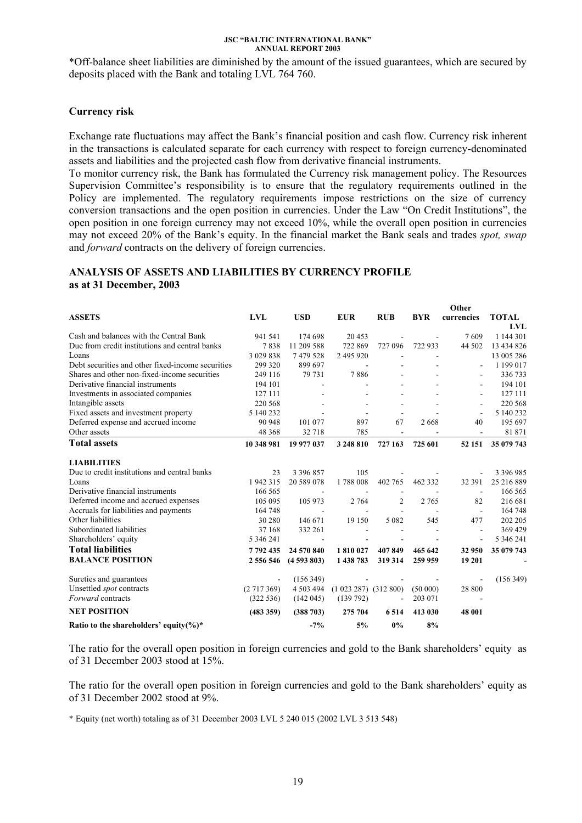\*Off-balance sheet liabilities are diminished by the amount of the issued guarantees, which are secured by deposits placed with the Bank and totaling LVL 764 760.

### **Currency risk**

Exchange rate fluctuations may affect the Bank's financial position and cash flow. Currency risk inherent in the transactions is calculated separate for each currency with respect to foreign currency-denominated assets and liabilities and the projected cash flow from derivative financial instruments.

To monitor currency risk, the Bank has formulated the Currency risk management policy. The Resources Supervision Committee's responsibility is to ensure that the regulatory requirements outlined in the Policy are implemented. The regulatory requirements impose restrictions on the size of currency conversion transactions and the open position in currencies. Under the Law "On Credit Institutions", the open position in one foreign currency may not exceed 10%, while the overall open position in currencies may not exceed 20% of the Bank's equity. In the financial market the Bank seals and trades *spot, swap* and *forward* contracts on the delivery of foreign currencies.

**Other** 

### **ANALYSIS OF ASSETS AND LIABILITIES BY CURRENCY PROFILE as at 31 December, 2003**

|                                                   |             |               |                             |                          |            | vwa                      |              |
|---------------------------------------------------|-------------|---------------|-----------------------------|--------------------------|------------|--------------------------|--------------|
| <b>ASSETS</b>                                     | <b>LVL</b>  | <b>USD</b>    | <b>EUR</b>                  | <b>RUB</b>               | <b>BYR</b> | currencies               | <b>TOTAL</b> |
|                                                   |             |               |                             |                          |            |                          | LVL          |
| Cash and balances with the Central Bank           | 941 541     | 174 698       | 20 453                      |                          |            | 7609                     | 1 144 301    |
| Due from credit institutions and central banks    | 7838        | 11 209 588    | 722 869                     | 727 096                  | 722 933    | 44 502                   | 13 434 826   |
| Loans                                             | 3 0 29 8 38 | 7479528       | 2 495 920                   |                          |            |                          | 13 005 286   |
| Debt securities and other fixed-income securities | 299 320     | 899 697       |                             |                          |            |                          | 1 199 017    |
| Shares and other non-fixed-income securities      | 249 116     | 79 731        | 7886                        |                          |            | $\overline{\phantom{a}}$ | 336 733      |
| Derivative financial instruments                  | 194 101     |               |                             |                          |            |                          | 194 101      |
| Investments in associated companies               | 127 111     |               |                             |                          |            |                          | 127 111      |
| Intangible assets                                 | 220 568     |               |                             |                          |            | $\blacksquare$           | 220 568      |
| Fixed assets and investment property              | 5 140 232   |               |                             |                          |            | $\blacksquare$           | 5 140 232    |
| Deferred expense and accrued income               | 90 948      | 101 077       | 897                         | 67                       | 2668       | 40                       | 195 697      |
| Other assets                                      | 48 368      | 32 718        | 785                         | $\overline{\phantom{a}}$ |            |                          | 81 871       |
| <b>Total assets</b>                               | 10 348 981  | 19 977 037    | 3 248 810                   | 727 163                  | 725 601    | 52 151                   | 35 079 743   |
| <b>LIABILITIES</b>                                |             |               |                             |                          |            |                          |              |
| Due to credit institutions and central banks      | 23          | 3 3 9 6 8 5 7 | 105                         |                          |            |                          | 3 396 985    |
| Loans                                             | 1942315     | 20 589 078    | 1788008                     | 402 765                  | 462 332    | 32 391                   | 25 216 889   |
| Derivative financial instruments                  | 166 565     |               |                             | $\overline{\phantom{a}}$ |            | $\blacksquare$           | 166 565      |
| Deferred income and accrued expenses              | 105 095     | 105 973       | 2 7 6 4                     | 2                        | 2 7 6 5    | 82                       | 216 681      |
| Accruals for liabilities and payments             | 164 748     |               |                             |                          |            | $\overline{\phantom{a}}$ | 164 748      |
| Other liabilities                                 | 30 280      | 146 671       | 19 150                      | 5 0 8 2                  | 545        | 477                      | 202 205      |
| Subordinated liabilities                          | 37 168      | 332 261       |                             |                          |            |                          | 369 429      |
| Shareholders' equity                              | 5 346 241   |               |                             |                          |            |                          | 5 346 241    |
| <b>Total liabilities</b>                          | 7792435     | 24 570 840    | 1810027                     | 407849                   | 465 642    | 32 950                   | 35 079 743   |
| <b>BALANCE POSITION</b>                           | 2 556 546   | (4593803)     | 1 438 783                   | 319 314                  | 259 959    | 19 201                   |              |
| Sureties and guarantees                           |             | (156 349)     |                             |                          |            |                          | (156 349)    |
| Unsettled <i>spot</i> contracts                   | (2717369)   | 4 503 494     | $(1\ 023\ 287)\ (312\ 800)$ |                          | (50000)    | 28 800                   |              |
| Forward contracts                                 | (322 536)   | (142045)      | (139792)                    | $\blacksquare$           | 203 071    |                          |              |
| <b>NET POSITION</b>                               | (483 359)   | (388703)      | 275 704                     | 6514                     | 413 030    | 48 001                   |              |
| Ratio to the shareholders' equity $(\%)^*$        |             | $-7%$         | 5%                          | 0%                       | 8%         |                          |              |

The ratio for the overall open position in foreign currencies and gold to the Bank shareholders' equity as of 31 December 2003 stood at 15%.

The ratio for the overall open position in foreign currencies and gold to the Bank shareholders' equity as of 31 December 2002 stood at 9%.

\* Equity (net worth) totaling as of 31 December 2003 LVL 5 240 015 (2002 LVL 3 513 548)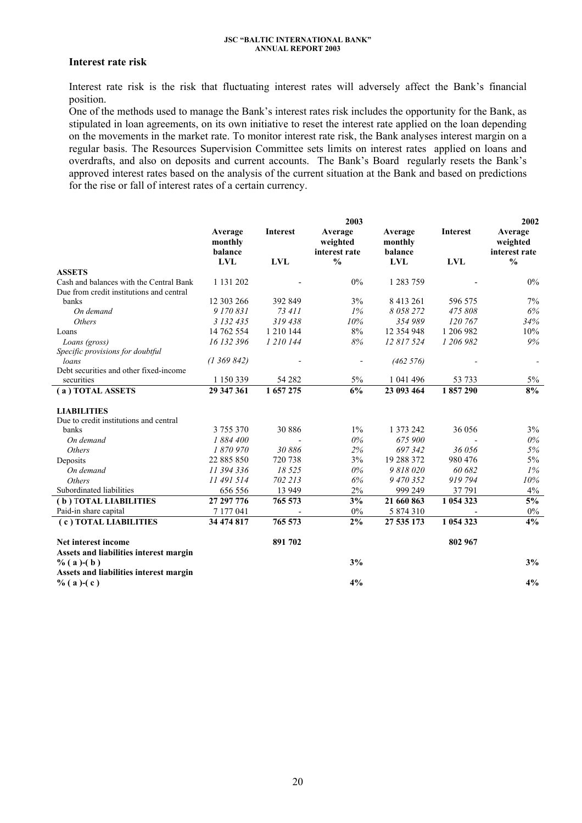### **Interest rate risk**

Interest rate risk is the risk that fluctuating interest rates will adversely affect the Bank's financial position.

One of the methods used to manage the Bank's interest rates risk includes the opportunity for the Bank, as stipulated in loan agreements, on its own initiative to reset the interest rate applied on the loan depending on the movements in the market rate. To monitor interest rate risk, the Bank analyses interest margin on a regular basis. The Resources Supervision Committee sets limits on interest rates applied on loans and overdrafts, and also on deposits and current accounts. The Bank's Board regularly resets the Bank's approved interest rates based on the analysis of the current situation at the Bank and based on predictions for the rise or fall of interest rates of a certain currency.

|                                                                                     |                               |                 | 2003                                 |                               |            | 2002                                 |
|-------------------------------------------------------------------------------------|-------------------------------|-----------------|--------------------------------------|-------------------------------|------------|--------------------------------------|
|                                                                                     | Average<br>monthly<br>balance | <b>Interest</b> | Average<br>weighted<br>interest rate | Average<br>monthly<br>balance | Interest   | Average<br>weighted<br>interest rate |
|                                                                                     | <b>LVL</b>                    | <b>LVL</b>      | $\frac{0}{0}$                        | <b>LVL</b>                    | <b>LVL</b> | $\frac{0}{0}$                        |
| <b>ASSETS</b>                                                                       |                               |                 |                                      |                               |            |                                      |
| Cash and balances with the Central Bank<br>Due from credit institutions and central | 1 131 202                     |                 | 0%                                   | 1 283 759                     |            | $0\%$                                |
| banks                                                                               | 12 303 266                    | 392 849         | 3%                                   | 8 4 13 2 6 1                  | 596 575    | 7%                                   |
| On demand                                                                           | 9 170 831                     | 73 411          | $1\%$                                | 8058272                       | 475 808    | 6%                                   |
| <i>Others</i>                                                                       | 3 132 435                     | 319 438         | 10%                                  | 354 989                       | 120 767    | 34%                                  |
| Loans                                                                               | 14 762 554                    | 1 210 144       | 8%                                   | 12 354 948                    | 1 206 982  | 10%                                  |
| Loans (gross)                                                                       | 16 132 396                    | 1 210 144       | $8\%$                                | 12 817 524                    | 1 206 982  | 9%                                   |
| Specific provisions for doubtful                                                    |                               |                 |                                      |                               |            |                                      |
| loans                                                                               | (1369842)                     |                 |                                      | (462 576)                     |            |                                      |
| Debt securities and other fixed-income                                              |                               |                 |                                      |                               |            |                                      |
| securities                                                                          | 1 150 339                     | 54 28 2         | $5\%$                                | 1 041 496                     | 53 733     | 5%                                   |
| (a) TOTAL ASSETS                                                                    | 29 347 361                    | 1 657 275       | 6%                                   | 23 093 464                    | 1857290    | 8%                                   |
| <b>LIABILITIES</b>                                                                  |                               |                 |                                      |                               |            |                                      |
| Due to credit institutions and central                                              |                               |                 |                                      |                               |            |                                      |
| banks                                                                               | 3 755 370                     | 30 886          | $1\%$                                | 1 373 242                     | 36 056     | 3%                                   |
| On demand                                                                           | 1884 400                      |                 | $0\%$                                | 675 900                       |            | $0\%$                                |
| Others                                                                              | 1870970                       | 30886           | 2%                                   | 697342                        | 36 056     | 5%                                   |
| Deposits                                                                            | 22 885 850                    | 720 738         | 3%                                   | 19 288 372                    | 980 476    | 5%                                   |
| On demand                                                                           | 11 394 336                    | 18 5 25         | 0%                                   | 9818020                       | 60 682     | 1%                                   |
| <b>Others</b>                                                                       | 11 491 514                    | 702 213         | 6%                                   | 9 470 352                     | 919 794    | 10%                                  |
| Subordinated liabilities                                                            | 656 556                       | 13 9 49         | 2%                                   | 999 249                       | 37 791     | $4\%$                                |
| (b) TOTAL LIABILITIES                                                               | 27 297 776                    | 765 573         | 3%                                   | 21 660 863                    | 1 054 323  | $\frac{5\%}{2\%}$                    |
| Paid-in share capital                                                               | 7 177 041                     |                 | 0%                                   | 5 874 310                     |            | $0\%$                                |
| (c) TOTAL LIABILITIES                                                               | 34 474 817                    | 765 573         | $2\%$                                | 27 535 173                    | 1 054 323  | 4%                                   |
| Net interest income                                                                 |                               | 891 702         |                                      |                               | 802 967    |                                      |
| Assets and liabilities interest margin                                              |                               |                 |                                      |                               |            |                                      |
| $\%$ (a)-(b)                                                                        |                               |                 | 3%                                   |                               |            | 3%                                   |
| Assets and liabilities interest margin                                              |                               |                 |                                      |                               |            |                                      |
| $\%$ (a)-(c)                                                                        |                               |                 | 4%                                   |                               |            | 4%                                   |
|                                                                                     |                               |                 |                                      |                               |            |                                      |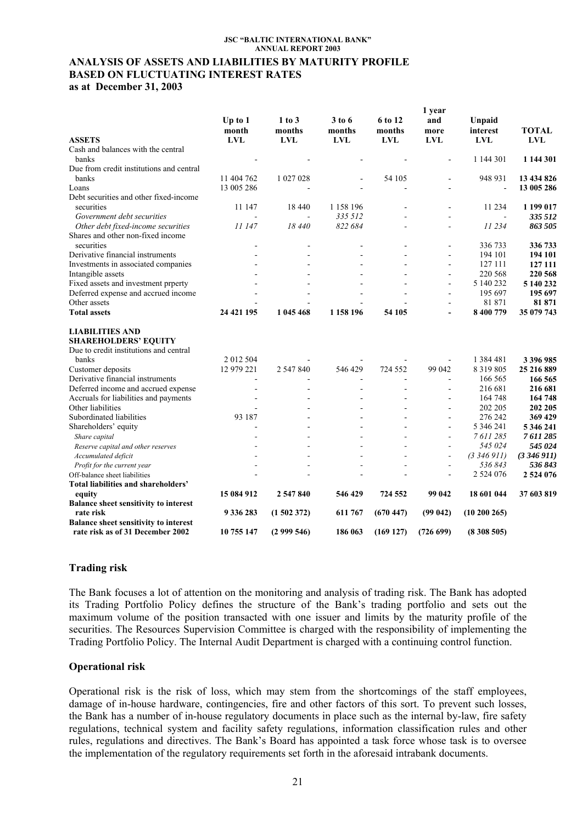### **ANALYSIS OF ASSETS AND LIABILITIES BY MATURITY PROFILE BASED ON FLUCTUATING INTEREST RATES as at December 31, 2003**

**Up to 1 month 1 to 3 months 6 to 12 months 1 year and more Unpaid interest TOTAL 3 to 6 months ASSETS LVL LVL LVL LVL LVL LVL LVL** Cash and balances with the central **banks 1144 301 1144 301** Due from credit institutions and central banks 11 404 762 1 027 028 - 54 105 - 948 931 **13 434 826**  Loans 13 005 286 - - - - - **13 005 286**  Debt securities and other fixed-income securities 11 147 18 440 1 158 196 - - 11 234 **1 199 017**  *Government debt securities* - *-* 335 512 - - - - 335 512<br> *Other debt fixed-income securities* 11 147 18 440 822 684 - - - 11 234 863 505  *Other debt fixed-income securities 11 147 18 440 822 684 - - 11 234 863 505*  Shares and other non-fixed income securities **12.1 and 23.1 and 33.6 73.3 336 733 336 733 336 733** Derivative financial instruments - - - - - 194 101 **194 101**  Investments in associated companies **127 111** 127 111 **127 111** Intangible assets **220 568 220 568 220 568 220 568** Fixed assets and investment prperty **-** - - - - - - - - - - - - - - - - 5 140 232 **5 140 232** Deferred expense and accrued income and income and income and income and income and income and income and income of the state of the state of the state of the state of the state of the state of the state of the state of th Other assets **81 871 81 871 81 871 Total assets 24 421 195 1 045 468 1 158 196 54 105 - 8 400 779 35 079 743 LIABILITIES AND SHAREHOLDERS' EQUITY** Due to credit institutions and central banks 2 012 504 - - - - 1 384 481 **3 396 985**  Customer deposits 12 979 221 2 547 840 546 429 724 552 99 042 8 319 805 **25 216 889**  Derivative financial instruments and the state of the state of the state of the state of the state of the state of the state of the state of the state of the state of the state of the state of the state of the state of the Deferred income and accrued expense - - - - - 216 681 **216 681**  Accruals for liabilities and payments **164 748 164 748 164 748 164 748 164 748** Other liabilities - - - - - 202 205 **202 205**  Subordinated liabilities 93 187 - - - - 276 242 369 429<br>
Shareholders' equity 3346 241 Shareholders' equity **-** - - - - 5 346 241 **5 346 241**  *Share capital - - - - - 7 611 285 7 611 285 Reserve capital and other reserves - - - - - 545 024 545 024 Accumulated deficit - - - - - (3 346 911) (3 346 911) Profit for the current year - - - - - 536 843 536 843*  Off-balance sheet liabilities **2 524 076 2 524 076 2 524 076 Total liabilities and shareholders' equity 15 084 912 2 547 840 546 429 724 552 99 042 18 601 044 37 603 819 Balance sheet sensitivity to interest rate risk 9 336 283 (1 502 372) 611 767 (670 447) (99 042) (10 200 265) Balance sheet sensitivity to interest rate risk as of 31 December 2002 10 755 147 (2 999 546) 186 063 (169 127) (726 699) (8 308 505)** 

### **Trading risk**

The Bank focuses a lot of attention on the monitoring and analysis of trading risk. The Bank has adopted its Trading Portfolio Policy defines the structure of the Bank's trading portfolio and sets out the maximum volume of the position transacted with one issuer and limits by the maturity profile of the securities. The Resources Supervision Committee is charged with the responsibility of implementing the Trading Portfolio Policy. The Internal Audit Department is charged with a continuing control function.

### **Operational risk**

Operational risk is the risk of loss, which may stem from the shortcomings of the staff employees, damage of in-house hardware, contingencies, fire and other factors of this sort. To prevent such losses, the Bank has a number of in-house regulatory documents in place such as the internal by-law, fire safety regulations, technical system and facility safety regulations, information classification rules and other rules, regulations and directives. The Bank's Board has appointed a task force whose task is to oversee the implementation of the regulatory requirements set forth in the aforesaid intrabank documents.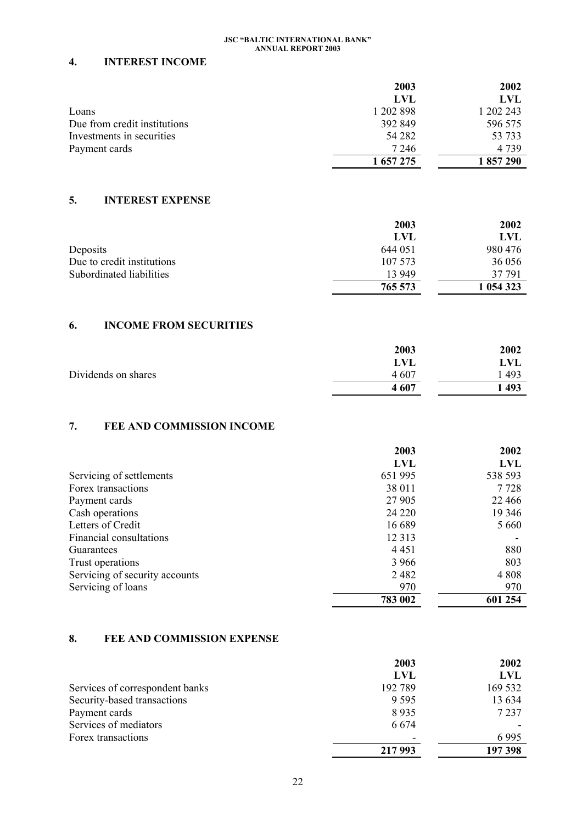### **4. INTEREST INCOME**

|                              | 2003      | 2002      |
|------------------------------|-----------|-----------|
|                              | LVL       | LVL       |
| Loans                        | 1 202 898 | 1 202 243 |
| Due from credit institutions | 392 849   | 596 575   |
| Investments in securities    | 54 28 2   | 53 733    |
| Payment cards                | 7 2 4 6   | 4 7 3 9   |
|                              | 1 657 275 | 1857290   |

## **5. INTEREST EXPENSE**

|                            | 2003    | 2002      |
|----------------------------|---------|-----------|
|                            | LVL     | LVL       |
| Deposits                   | 644 051 | 980 476   |
| Due to credit institutions | 107 573 | 36 056    |
| Subordinated liabilities   | 13 949  | 37 791    |
|                            | 765 573 | 1 054 323 |

## **6. INCOME FROM SECURITIES**

|                     | 2003  | 2002 |
|---------------------|-------|------|
|                     | LVL   | LVL  |
| Dividends on shares | 4 607 | 493  |
|                     | 4607  | 493  |

# **7. FEE AND COMMISSION INCOME**

|                                | 2003       | 2002     |
|--------------------------------|------------|----------|
|                                | <b>LVL</b> | LVL      |
| Servicing of settlements       | 651 995    | 538 593  |
| Forex transactions             | 38 011     | 7728     |
| Payment cards                  | 27 905     | 22 4 6 6 |
| Cash operations                | 24 2 2 0   | 19 3 46  |
| Letters of Credit              | 16 689     | 5 6 6 0  |
| Financial consultations        | 12 3 13    |          |
| Guarantees                     | 4 4 5 1    | 880      |
| Trust operations               | 3 9 6 6    | 803      |
| Servicing of security accounts | 2482       | 4 8 0 8  |
| Servicing of loans             | 970        | 970      |
|                                | 783 002    | 601 254  |

## **8. FEE AND COMMISSION EXPENSE**

|                                 | 2003    | 2002    |
|---------------------------------|---------|---------|
|                                 | LVL     | LVL     |
| Services of correspondent banks | 192 789 | 169 532 |
| Security-based transactions     | 9 5 9 5 | 13 634  |
| Payment cards                   | 8935    | 7 2 3 7 |
| Services of mediators           | 6 6 7 4 |         |
| Forex transactions              | -       | 6995    |
|                                 | 217 993 | 197 398 |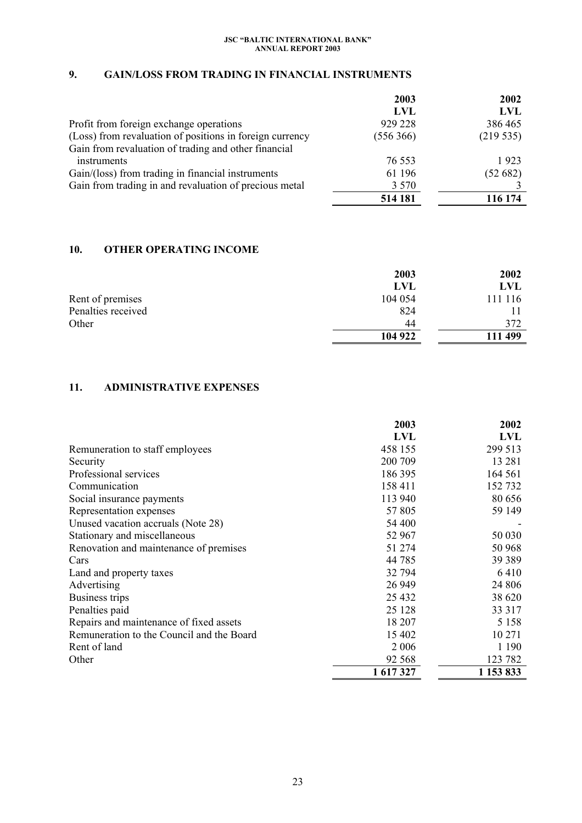# **9. GAIN/LOSS FROM TRADING IN FINANCIAL INSTRUMENTS**

|                                                          | 2003      | 2002       |
|----------------------------------------------------------|-----------|------------|
|                                                          | LVL       | <b>LVL</b> |
| Profit from foreign exchange operations                  | 929 228   | 386 465    |
| (Loss) from revaluation of positions in foreign currency | (556 366) | (219535)   |
| Gain from revaluation of trading and other financial     |           |            |
| instruments                                              | 76 553    | 1923       |
| Gain/(loss) from trading in financial instruments        | 61 196    | (52682)    |
| Gain from trading in and revaluation of precious metal   | 3 5 7 0   |            |
|                                                          | 514 181   | 116 174    |

## **10. OTHER OPERATING INCOME**

|                    | 2003    | 2002    |
|--------------------|---------|---------|
|                    | LVL     | LVL     |
| Rent of premises   | 104 054 | 111 116 |
| Penalties received | 824     |         |
| Other              | 44      | 372     |
|                    | 104 922 | 111 499 |

## **11. ADMINISTRATIVE EXPENSES**

|                                           | 2003      | 2002       |
|-------------------------------------------|-----------|------------|
|                                           | LVL       | <b>LVL</b> |
| Remuneration to staff employees           | 458 155   | 299 513    |
| Security                                  | 200 709   | 13 28 1    |
| Professional services                     | 186 395   | 164 561    |
| Communication                             | 158 411   | 152732     |
| Social insurance payments                 | 113 940   | 80 656     |
| Representation expenses                   | 57 805    | 59 149     |
| Unused vacation accruals (Note 28)        | 54 400    |            |
| Stationary and miscellaneous              | 52 967    | 50 030     |
| Renovation and maintenance of premises    | 51 274    | 50 968     |
| Cars                                      | 44 785    | 39 389     |
| Land and property taxes                   | 32 794    | 6410       |
| Advertising                               | 26 949    | 24 806     |
| Business trips                            | 25 4 32   | 38 620     |
| Penalties paid                            | 25 1 28   | 33 317     |
| Repairs and maintenance of fixed assets   | 18 207    | 5 1 5 8    |
| Remuneration to the Council and the Board | 15 402    | 10 271     |
| Rent of land                              | 2 0 0 6   | 1 1 9 0    |
| Other                                     | 92 568    | 123 782    |
|                                           | 1 617 327 | 1 153 833  |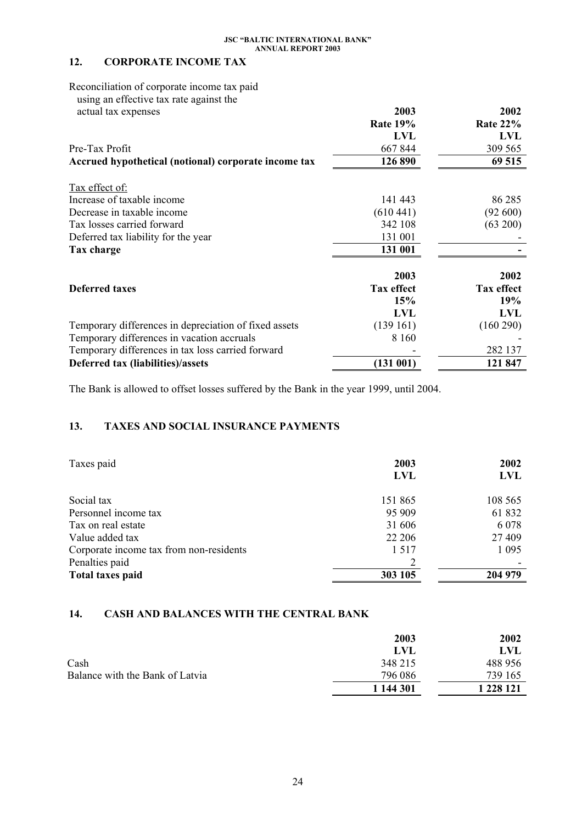# **12. CORPORATE INCOME TAX**

Reconciliation of corporate income tax paid using an effective tax rate against the

| actual tax expenses                                   | 2003              | 2002              |
|-------------------------------------------------------|-------------------|-------------------|
|                                                       | <b>Rate 19%</b>   | <b>Rate 22%</b>   |
|                                                       | <b>LVL</b>        | <b>LVL</b>        |
| Pre-Tax Profit                                        | 667 844           | 309 565           |
| Accrued hypothetical (notional) corporate income tax  | 126 890           | 69 515            |
| Tax effect of:                                        |                   |                   |
| Increase of taxable income                            | 141 443           | 86 285            |
| Decrease in taxable income                            | (610441)          | (92600)           |
| Tax losses carried forward                            | 342 108           | (63 200)          |
| Deferred tax liability for the year                   | 131 001           |                   |
| Tax charge                                            | 131 001           |                   |
|                                                       | 2003              | 2002              |
| <b>Deferred taxes</b>                                 | <b>Tax effect</b> | <b>Tax effect</b> |
|                                                       | 15%               | 19%               |
|                                                       | LVL               | <b>LVL</b>        |
| Temporary differences in depreciation of fixed assets | (139161)          | (160 290)         |
| Temporary differences in vacation accruals            | 8 1 6 0           |                   |
| Temporary differences in tax loss carried forward     |                   | 282 137           |
| Deferred tax (liabilities)/assets                     | (131001)          | 121 847           |

The Bank is allowed to offset losses suffered by the Bank in the year 1999, until 2004.

## **13. TAXES AND SOCIAL INSURANCE PAYMENTS**

| Taxes paid                              | 2003<br><b>LVL</b> | 2002<br>LVL |
|-----------------------------------------|--------------------|-------------|
| Social tax                              | 151 865            | 108 565     |
| Personnel income tax                    | 95 909             | 61 832      |
| Tax on real estate                      | 31 606             | 6 0 7 8     |
| Value added tax                         | 22 20 6            | 27 409      |
| Corporate income tax from non-residents | 1 5 1 7            | 1 0 9 5     |
| Penalties paid                          |                    |             |
| <b>Total taxes paid</b>                 | 303 105            | 204 979     |

### **14. CASH AND BALANCES WITH THE CENTRAL BANK**

|                                 | 2003      | 2002       |
|---------------------------------|-----------|------------|
|                                 | LVL       | <b>LVL</b> |
| Cash                            | 348 215   | 488 956    |
| Balance with the Bank of Latvia | 796 086   | 739 165    |
|                                 | 1 144 301 | 1 228 121  |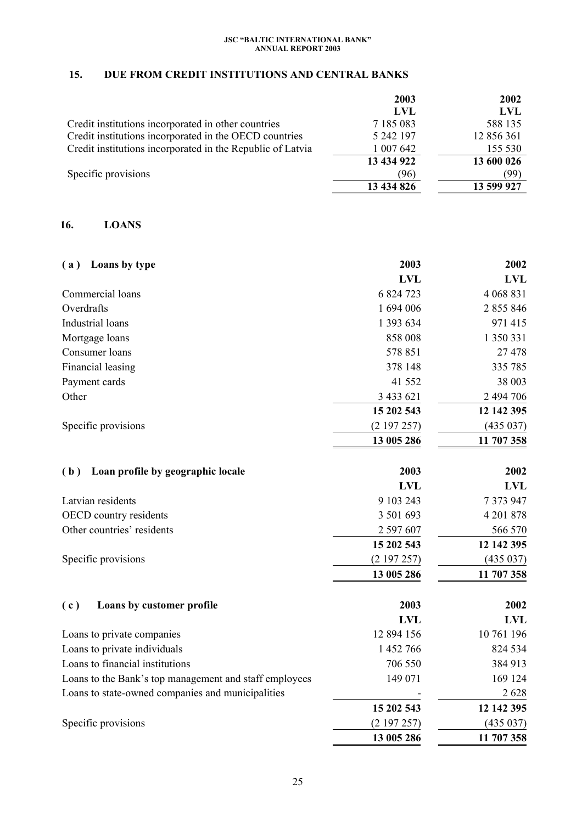# **15. DUE FROM CREDIT INSTITUTIONS AND CENTRAL BANKS**

|                                                            | 2003       | 2002       |
|------------------------------------------------------------|------------|------------|
|                                                            | LVL        | <b>LVL</b> |
| Credit institutions incorporated in other countries        | 7 185 083  | 588 135    |
| Credit institutions incorporated in the OECD countries     | 5 242 197  | 12 856 361 |
| Credit institutions incorporated in the Republic of Latvia | 1 007 642  | 155 530    |
|                                                            | 13 434 922 | 13 600 026 |
| Specific provisions                                        | (96)       | (99)       |
|                                                            | 13 434 826 | 13 599 927 |

## **16. LOANS**

| Loans by type<br>(a)                                   | 2003       | 2002       |
|--------------------------------------------------------|------------|------------|
|                                                        | <b>LVL</b> | <b>LVL</b> |
| Commercial loans                                       | 6 824 723  | 4 068 831  |
| Overdrafts                                             | 1 694 006  | 2 855 846  |
| Industrial loans                                       | 1 393 634  | 971 415    |
| Mortgage loans                                         | 858 008    | 1 350 331  |
| Consumer loans                                         | 578 851    | 27 478     |
| Financial leasing                                      | 378 148    | 335 785    |
| Payment cards                                          | 41 552     | 38 003     |
| Other                                                  | 3 433 621  | 2 494 706  |
|                                                        | 15 202 543 | 12 142 395 |
| Specific provisions                                    | (2197257)  | (435 037)  |
|                                                        | 13 005 286 | 11 707 358 |
|                                                        |            |            |
| Loan profile by geographic locale<br>(b)               | 2003       | 2002       |
|                                                        | <b>LVL</b> | <b>LVL</b> |
| Latvian residents                                      | 9 103 243  | 7 373 947  |
| OECD country residents                                 | 3 501 693  | 4 201 878  |
| Other countries' residents                             | 2 597 607  | 566 570    |
|                                                        | 15 202 543 | 12 142 395 |
| Specific provisions                                    | (2197257)  | (435 037)  |
|                                                        | 13 005 286 | 11 707 358 |
| Loans by customer profile<br>(c)                       | 2003       | 2002       |
|                                                        | <b>LVL</b> | <b>LVL</b> |
| Loans to private companies                             | 12 894 156 | 10 761 196 |
| Loans to private individuals                           | 1 452 766  | 824 534    |
| Loans to financial institutions                        | 706 550    | 384 913    |
| Loans to the Bank's top management and staff employees | 149 071    | 169 124    |
| Loans to state-owned companies and municipalities      |            | 2628       |
|                                                        | 15 202 543 | 12 142 395 |
| Specific provisions                                    | (2197257)  | (435 037)  |
|                                                        | 13 005 286 | 11 707 358 |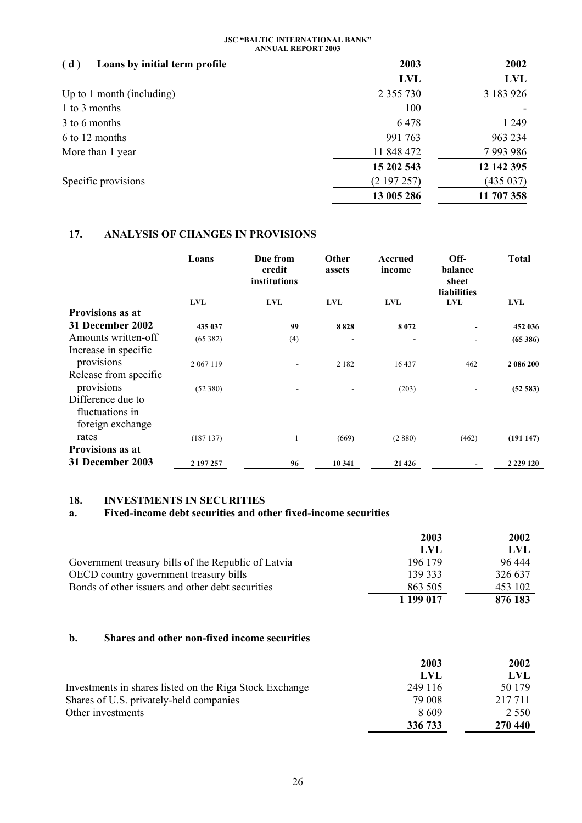| Loans by initial term profile<br>(d) | 2003          | 2002          |
|--------------------------------------|---------------|---------------|
|                                      | <b>LVL</b>    | <b>LVL</b>    |
| Up to 1 month (including)            | 2 3 5 5 7 3 0 | 3 183 926     |
| 1 to 3 months                        | 100           |               |
| 3 to 6 months                        | 6478          | 1 2 4 9       |
| 6 to 12 months                       | 991 763       | 963 234       |
| More than 1 year                     | 11 848 472    | 7 9 9 3 9 8 6 |
|                                      | 15 202 543    | 12 142 395    |
| Specific provisions                  | (2197257)     | (435 037)     |
|                                      | 13 005 286    | 11 707 358    |

## **17. ANALYSIS OF CHANGES IN PROVISIONS**

|                         | Loans       | Due from<br>credit<br>institutions | Other<br>assets | Accrued<br>income | Off-<br>balance<br>sheet<br><b>liabilities</b> | <b>Total</b>  |
|-------------------------|-------------|------------------------------------|-----------------|-------------------|------------------------------------------------|---------------|
|                         | <b>LVL</b>  | <b>LVL</b>                         | LVL             | <b>LVL</b>        | LVL                                            | <b>LVL</b>    |
| <b>Provisions as at</b> |             |                                    |                 |                   |                                                |               |
| 31 December 2002        | 435 037     | 99                                 | 8828            | 8072              |                                                | 452 036       |
| Amounts written-off     | (65382)     | (4)                                |                 |                   | ۰                                              | (65386)       |
| Increase in specific    |             |                                    |                 |                   |                                                |               |
| provisions              | 2 0 67 1 19 |                                    | 2 1 8 2         | 16 437            | 462                                            | 2 086 200     |
| Release from specific   |             |                                    |                 |                   |                                                |               |
| provisions              | (52 380)    |                                    |                 | (203)             |                                                | (52 583)      |
| Difference due to       |             |                                    |                 |                   |                                                |               |
| fluctuations in         |             |                                    |                 |                   |                                                |               |
| foreign exchange        |             |                                    |                 |                   |                                                |               |
| rates                   | (187137)    |                                    | (669)           | (2880)            | (462)                                          | (191147)      |
| <b>Provisions as at</b> |             |                                    |                 |                   |                                                |               |
| 31 December 2003        | 2 197 257   | 96                                 | 10 341          | 21 4 26           |                                                | 2 2 2 9 1 2 0 |

### **18. INVESTMENTS IN SECURITIES**

# **a. Fixed-income debt securities and other fixed-income securities**

|                                                     | 2003      | 2002    |
|-----------------------------------------------------|-----------|---------|
|                                                     | LVL       | LVL     |
| Government treasury bills of the Republic of Latvia | 196 179   | 96 444  |
| <b>OECD</b> country government treasury bills       | 139 333   | 326 637 |
| Bonds of other issuers and other debt securities    | 863 505   | 453 102 |
|                                                     | 1 199 017 | 876 183 |

### **b. Shares and other non-fixed income securities**

|                                                         | 2003    | 2002    |
|---------------------------------------------------------|---------|---------|
|                                                         | LVL     | LVL     |
| Investments in shares listed on the Riga Stock Exchange | 249 116 | 50 179  |
| Shares of U.S. privately-held companies                 | 79 008  | 217 711 |
| Other investments                                       | 8609    | 2 5 5 0 |
|                                                         | 336 733 | 270 440 |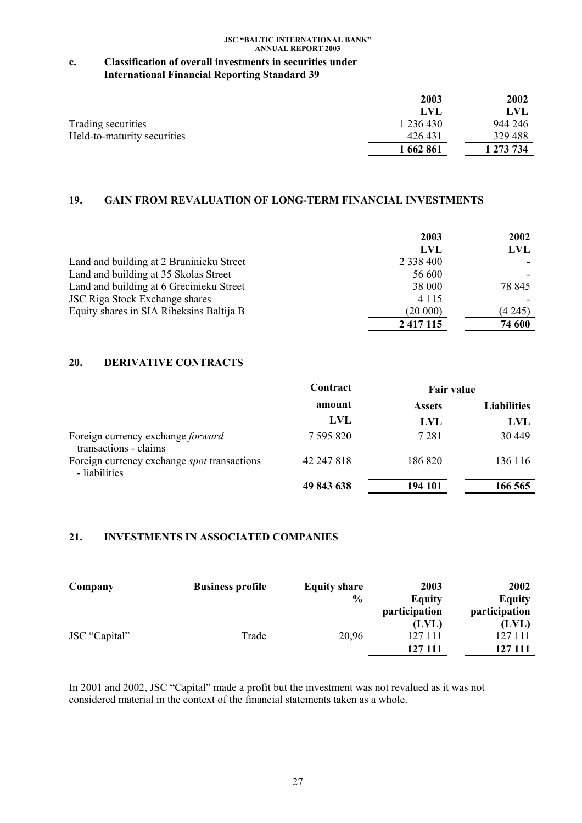## **c. Classification of overall investments in securities under International Financial Reporting Standard 39**

|                             | 2003      | 2002      |
|-----------------------------|-----------|-----------|
|                             | LVL       | LVL.      |
| Trading securities          | 1 236 430 | 944 246   |
| Held-to-maturity securities | 426 431   | 329 488   |
|                             | 1 662 861 | 1 273 734 |

# **19. GAIN FROM REVALUATION OF LONG-TERM FINANCIAL INVESTMENTS**

|                                          | 2003          | 2002   |
|------------------------------------------|---------------|--------|
|                                          | LVL           | LVL    |
| Land and building at 2 Bruninieku Street | 2 3 3 4 4 0 0 |        |
| Land and building at 35 Skolas Street    | 56 600        |        |
| Land and building at 6 Grecinieku Street | 38 000        | 78 845 |
| <b>JSC Riga Stock Exchange shares</b>    | 4 1 1 5       |        |
| Equity shares in SIA Ribeksins Baltija B | (20000)       | (4245) |
|                                          | 2 4 1 7 1 1 5 | 74 600 |

## **20. DERIVATIVE CONTRACTS**

|                                                                     | Contract   | <b>Fair value</b> |                    |
|---------------------------------------------------------------------|------------|-------------------|--------------------|
|                                                                     | amount     | <b>Assets</b>     | <b>Liabilities</b> |
|                                                                     | LVL        | LVL               | LVL                |
| Foreign currency exchange forward<br>transactions - claims          | 7 595 820  | 7 2 8 1           | 30 449             |
| Foreign currency exchange <i>spot</i> transactions<br>- liabilities | 42 247 818 | 186 820           | 136 116            |
|                                                                     | 49 843 638 | 194 101           | 166 565            |

## **21. INVESTMENTS IN ASSOCIATED COMPANIES**

| Company       | <b>Business profile</b> | <b>Equity share</b> | 2003          | 2002          |
|---------------|-------------------------|---------------------|---------------|---------------|
|               |                         | $\frac{6}{9}$       | Equity        | <b>Equity</b> |
|               |                         |                     | participation | participation |
|               |                         |                     | (LVL)         | (LVL)         |
| JSC "Capital" | Trade                   | 20,96               | 127 111       | 127 111       |
|               |                         |                     | 127 111       | 127 111       |

In 2001 and 2002, JSC "Capital" made a profit but the investment was not revalued as it was not considered material in the context of the financial statements taken as a whole.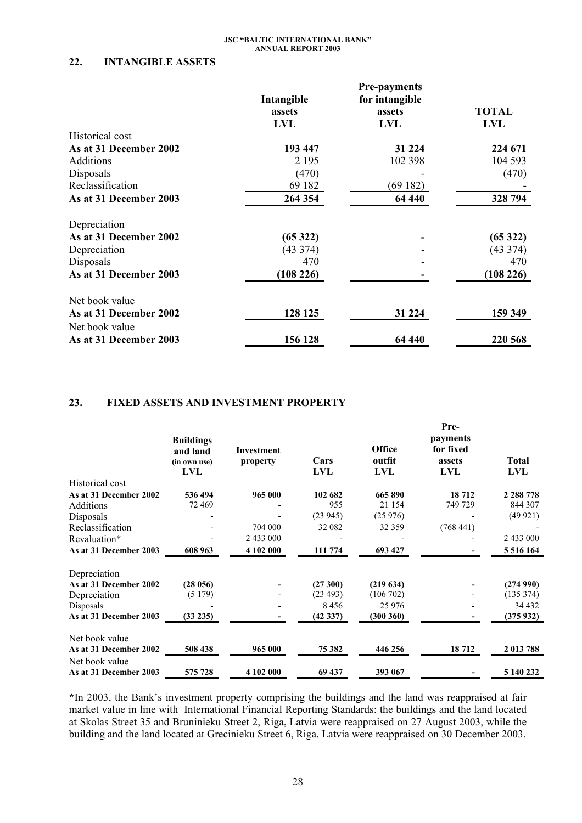## **22. INTANGIBLE ASSETS**

|                        | <b>Pre-payments</b> |                |              |
|------------------------|---------------------|----------------|--------------|
|                        | Intangible          | for intangible |              |
|                        | assets              | assets         | <b>TOTAL</b> |
|                        | <b>LVL</b>          | <b>LVL</b>     | <b>LVL</b>   |
| Historical cost        |                     |                |              |
| As at 31 December 2002 | 193 447             | 31 224         | 224 671      |
| <b>Additions</b>       | 2 1 9 5             | 102 398        | 104 593      |
| Disposals              | (470)               |                | (470)        |
| Reclassification       | 69 182              | (69182)        |              |
| As at 31 December 2003 | 264 354             | 64 440         | 328 794      |
| Depreciation           |                     |                |              |
| As at 31 December 2002 | (65322)             |                | (65322)      |
| Depreciation           | (43374)             |                | (43374)      |
| Disposals              | 470                 |                | 470          |
| As at 31 December 2003 | (108 226)           |                | (108 226)    |
| Net book value         |                     |                |              |
| As at 31 December 2002 | 128 125             | 31 224         | 159 349      |
| Net book value         |                     |                |              |
| As at 31 December 2003 | 156 128             | 64 440         | 220 568      |

### **23. FIXED ASSETS AND INVESTMENT PROPERTY**

|                                          | <b>Buildings</b><br>and land<br>(in own use)<br>LVL | Investment<br>property | Cars<br>LVL    | <b>Office</b><br>outfit<br>LVL | Pre-<br>payments<br>for fixed<br>assets<br>LVL | <b>Total</b><br>LVL    |
|------------------------------------------|-----------------------------------------------------|------------------------|----------------|--------------------------------|------------------------------------------------|------------------------|
| Historical cost                          |                                                     |                        |                |                                |                                                |                        |
| As at 31 December 2002<br>Additions      | 536 494<br>72 469                                   | 965 000                | 102 682<br>955 | 665 890<br>21 154              | 18712<br>749 729                               | 2 2 8 7 7 8<br>844 307 |
| Disposals                                |                                                     |                        | (23945)        | (25976)                        |                                                | (49921)                |
| Reclassification                         |                                                     | 704 000                | 32 082         | 32 359                         | (768441)                                       |                        |
| Revaluation*                             |                                                     | 2 433 000              |                |                                |                                                | 2 433 000              |
| As at 31 December 2003                   | 608 963                                             | 4 102 000              | 111 774        | 693 427                        |                                                | 5 516 164              |
| Depreciation                             |                                                     |                        |                |                                |                                                |                        |
| As at 31 December 2002                   | (28056)                                             |                        | (27300)        | (219634)                       |                                                | (274990)               |
| Depreciation                             | (5179)                                              |                        | (23 493)       | (106702)                       |                                                | (135 374)              |
| Disposals                                |                                                     |                        | 8456           | 25 976                         |                                                | 34 4 32                |
| As at 31 December 2003                   | (33 235)                                            |                        | (42 337)       | (300360)                       |                                                | (375932)               |
| Net book value                           |                                                     |                        |                |                                |                                                |                        |
| As at 31 December 2002                   | 508 438                                             | 965 000                | 75 382         | 446 256                        | 18712                                          | 2 013 788              |
| Net book value<br>As at 31 December 2003 | 575 728                                             | 4 102 000              | 69 437         | 393 067                        |                                                | 5 140 232              |
|                                          |                                                     |                        |                |                                |                                                |                        |

**\***In 2003, the Bank's investment property comprising the buildings and the land was reappraised at fair market value in line with International Financial Reporting Standards: the buildings and the land located at Skolas Street 35 and Bruninieku Street 2, Riga, Latvia were reappraised on 27 August 2003, while the building and the land located at Grecinieku Street 6, Riga, Latvia were reappraised on 30 December 2003.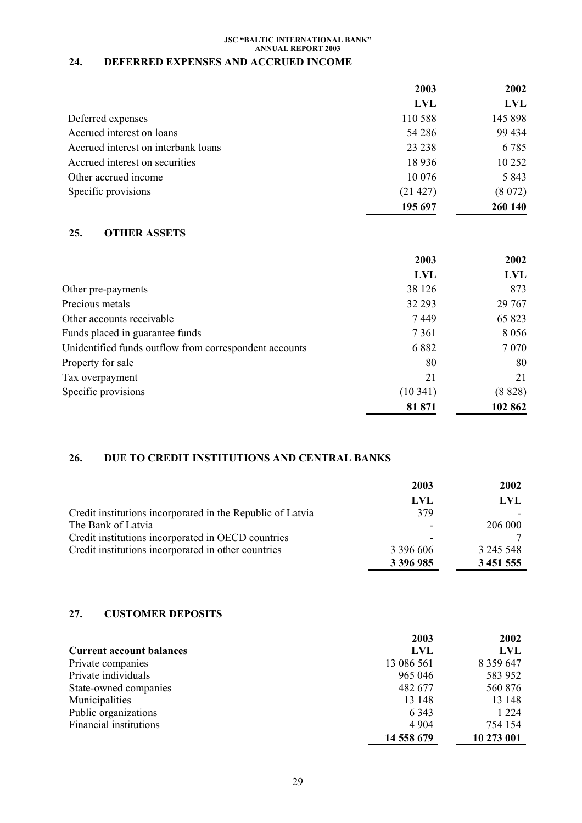# **24. DEFERRED EXPENSES AND ACCRUED INCOME**

|                                     | 2003       | 2002       |
|-------------------------------------|------------|------------|
|                                     | <b>LVL</b> | <b>LVL</b> |
| Deferred expenses                   | 110 588    | 145 898    |
| Accrued interest on loans           | 54 28 6    | 99 434     |
| Accrued interest on interbank loans | 23 23 8    | 6785       |
| Accrued interest on securities      | 18 9 36    | 10 25 2    |
| Other accrued income                | 10 0 76    | 5 8 4 3    |
| Specific provisions                 | (21 427)   | (8072)     |
|                                     | 195 697    | 260 140    |

## **25. OTHER ASSETS**

|                                                        | 2003       | 2002    |
|--------------------------------------------------------|------------|---------|
|                                                        | <b>LVL</b> | LVL     |
| Other pre-payments                                     | 38 126     | 873     |
| Precious metals                                        | 32 293     | 29 7 67 |
| Other accounts receivable                              | 7449       | 65 823  |
| Funds placed in guarantee funds                        | 7 3 6 1    | 8 0 5 6 |
| Unidentified funds outflow from correspondent accounts | 6882       | 7 0 7 0 |
| Property for sale                                      | 80         | 80      |
| Tax overpayment                                        | 21         | 21      |
| Specific provisions                                    | (10341)    | (8828)  |
|                                                        | 81 871     | 102 862 |

# **26. DUE TO CREDIT INSTITUTIONS AND CENTRAL BANKS**

|                                                            | 2003      | 2002      |
|------------------------------------------------------------|-----------|-----------|
|                                                            | LVL       | LVL       |
| Credit institutions incorporated in the Republic of Latvia | 379       |           |
| The Bank of Latvia                                         |           | 206 000   |
| Credit institutions incorporated in OECD countries         |           |           |
| Credit institutions incorporated in other countries        | 3 396 606 | 3 245 548 |
|                                                            | 3 396 985 | 3 451 555 |

### **27. CUSTOMER DEPOSITS**

|                                 | 2003       | 2002          |
|---------------------------------|------------|---------------|
| <b>Current account balances</b> | LVL        | LVL           |
| Private companies               | 13 086 561 | 8 3 5 9 6 4 7 |
| Private individuals             | 965 046    | 583 952       |
| State-owned companies           | 482 677    | 560 876       |
| Municipalities                  | 13 148     | 13 148        |
| Public organizations            | 6 3 4 3    | 1 2 2 4       |
| <b>Financial institutions</b>   | 4 9 0 4    | 754 154       |
|                                 | 14 558 679 | 10 273 001    |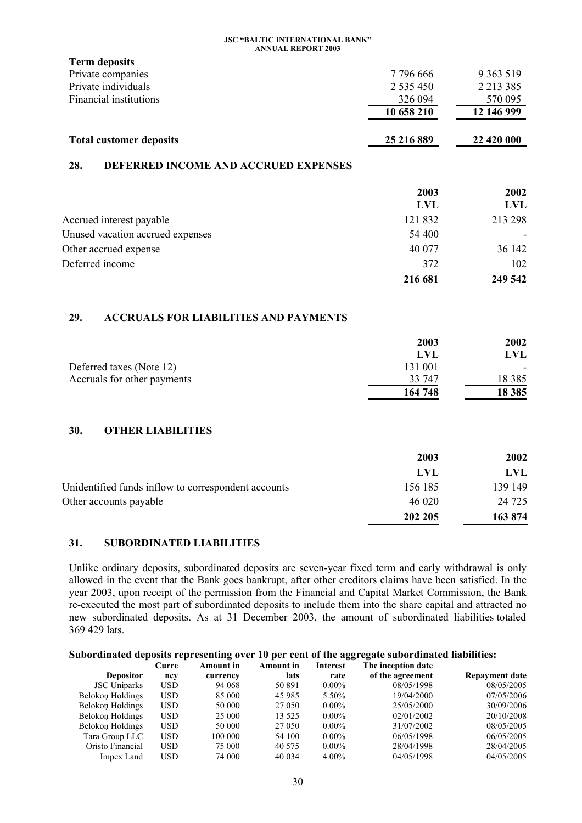| <b>Term deposits</b>           |               |               |
|--------------------------------|---------------|---------------|
| Private companies              | 7 796 666     | 9 3 6 3 5 1 9 |
| Private individuals            | 2 5 3 5 4 5 0 | 2 2 1 3 3 8 5 |
| Financial institutions         | 326 094       | 570 095       |
|                                | 10 658 210    | 12 146 999    |
|                                |               |               |
| <b>Total customer deposits</b> | 25 216 889    | 22 420 000    |

### **28. DEFERRED INCOME AND ACCRUED EXPENSES**

|                                  | 2003       | 2002    |
|----------------------------------|------------|---------|
|                                  | <b>LVL</b> | LVL     |
| Accrued interest payable         | 121 832    | 213 298 |
| Unused vacation accrued expenses | 54 400     |         |
| Other accrued expense            | 40 077     | 36 142  |
| Deferred income                  | 372        | 102     |
|                                  | 216 681    | 249 542 |

## **29. ACCRUALS FOR LIABILITIES AND PAYMENTS**

|                             | 2003    | 2002     |
|-----------------------------|---------|----------|
|                             | LVL     | LVL      |
| Deferred taxes (Note 12)    | 131 001 |          |
| Accruals for other payments | 33 747  | 18 3 8 5 |
|                             | 164 748 | 18 3 85  |

## **30. OTHER LIABILITIES**

|                                                     | 2003    | 2002    |
|-----------------------------------------------------|---------|---------|
|                                                     | LVL     | LVL.    |
| Unidentified funds inflow to correspondent accounts | 156 185 | 139 149 |
| Other accounts payable                              | 46 020  | 24 7 25 |
|                                                     | 202 205 | 163 874 |

### **31. SUBORDINATED LIABILITIES**

Unlike ordinary deposits, subordinated deposits are seven-year fixed term and early withdrawal is only allowed in the event that the Bank goes bankrupt, after other creditors claims have been satisfied. In the year 2003, upon receipt of the permission from the Financial and Capital Market Commission, the Bank re-executed the most part of subordinated deposits to include them into the share capital and attracted no new subordinated deposits. As at 31 December 2003, the amount of subordinated liabilities totaled 369 429 lats.

### **Subordinated deposits representing over 10 per cent of the aggregate subordinated liabilities:**

|                     | Curre | <b>Amount</b> in | Amount in | Interest | The inception date |                       |
|---------------------|-------|------------------|-----------|----------|--------------------|-----------------------|
| <b>Depositor</b>    | ncy   | currency         | lats      | rate     | of the agreement   | <b>Repayment date</b> |
| <b>JSC</b> Uniparks | USD   | 94 068           | 50 891    | $0.00\%$ | 08/05/1998         | 08/05/2005            |
| Belokon Holdings    | USD   | 85 000           | 45 985    | 5.50%    | 19/04/2000         | 07/05/2006            |
| Belokon Holdings    | USD   | 50 000           | 27 050    | $0.00\%$ | 25/05/2000         | 30/09/2006            |
| Belokon Holdings    | USD   | 25 000           | 13 5 25   | $0.00\%$ | 02/01/2002         | 20/10/2008            |
| Belokon Holdings    | USD   | 50 000           | 27 050    | $0.00\%$ | 31/07/2002         | 08/05/2005            |
| Tara Group LLC      | USD   | 100 000          | 54 100    | $0.00\%$ | 06/05/1998         | 06/05/2005            |
| Oristo Financial    | USD   | 75 000           | 40 575    | $0.00\%$ | 28/04/1998         | 28/04/2005            |
| Impex Land          | USD   | 74 000           | 40 0 34   | $4.00\%$ | 04/05/1998         | 04/05/2005            |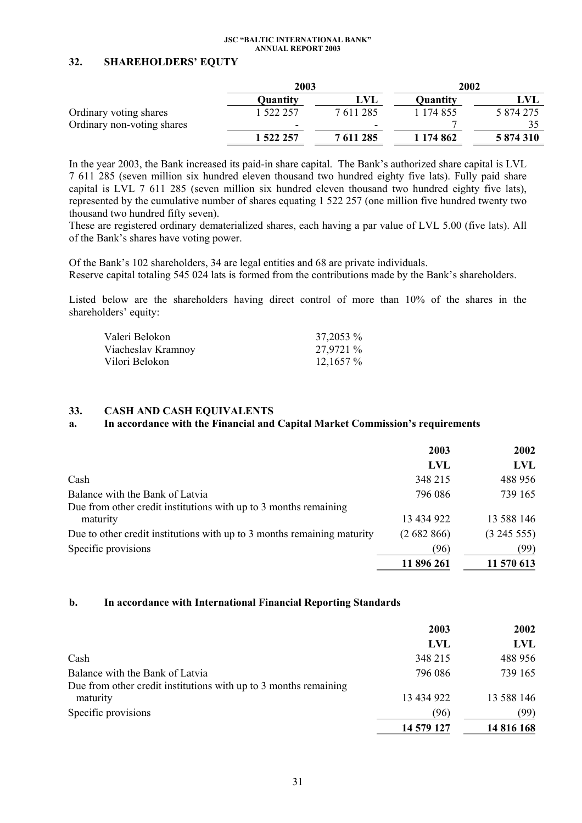### **32. SHAREHOLDERS' EQUTY**

|                            | 2003      |           | 2002      |           |
|----------------------------|-----------|-----------|-----------|-----------|
|                            | Quantity  | LVL       | Quantity  | LVL       |
| Ordinary voting shares     | . 522 257 | 7611285   | 1 174 855 | 5 874 275 |
| Ordinary non-voting shares | -         | -         |           |           |
|                            | 1 522 257 | 7 611 285 | 1 174 862 | 5 874 310 |

In the year 2003, the Bank increased its paid-in share capital. The Bank's authorized share capital is LVL 7 611 285 (seven million six hundred eleven thousand two hundred eighty five lats). Fully paid share capital is LVL 7 611 285 (seven million six hundred eleven thousand two hundred eighty five lats), represented by the cumulative number of shares equating 1 522 257 (one million five hundred twenty two thousand two hundred fifty seven).

These are registered ordinary dematerialized shares, each having a par value of LVL 5.00 (five lats). All of the Bank's shares have voting power.

Of the Bank's 102 shareholders, 34 are legal entities and 68 are private individuals. Reserve capital totaling 545 024 lats is formed from the contributions made by the Bank's shareholders.

Listed below are the shareholders having direct control of more than 10% of the shares in the shareholders' equity:

| Valeri Belokon     | 37,2053 %   |
|--------------------|-------------|
| Viacheslav Kramnoy | 27,9721 %   |
| Vilori Belokon     | $12,1657\%$ |

### **33. CASH AND CASH EQUIVALENTS**

### **a. In accordance with the Financial and Capital Market Commission's requirements**

|                                                                         | 2003       | 2002       |
|-------------------------------------------------------------------------|------------|------------|
|                                                                         | <b>LVL</b> | LVL        |
| Cash                                                                    | 348 215    | 488 956    |
| Balance with the Bank of Latvia                                         | 796 086    | 739 165    |
| Due from other credit institutions with up to 3 months remaining        |            |            |
| maturity                                                                | 13 434 922 | 13 588 146 |
| Due to other credit institutions with up to 3 months remaining maturity | (2682866)  | (324555)   |
| Specific provisions                                                     | (96)       | (99)       |
|                                                                         | 11 896 261 | 11 570 613 |

### **b. In accordance with International Financial Reporting Standards**

|                                                                              | 2003       | 2002       |
|------------------------------------------------------------------------------|------------|------------|
|                                                                              | LVL        | LVL        |
| Cash                                                                         | 348 215    | 488 956    |
| Balance with the Bank of Latvia                                              | 796 086    | 739 165    |
| Due from other credit institutions with up to 3 months remaining<br>maturity | 13 434 922 | 13 588 146 |
| Specific provisions                                                          | (96)       | (99)       |
|                                                                              | 14 579 127 | 14 816 168 |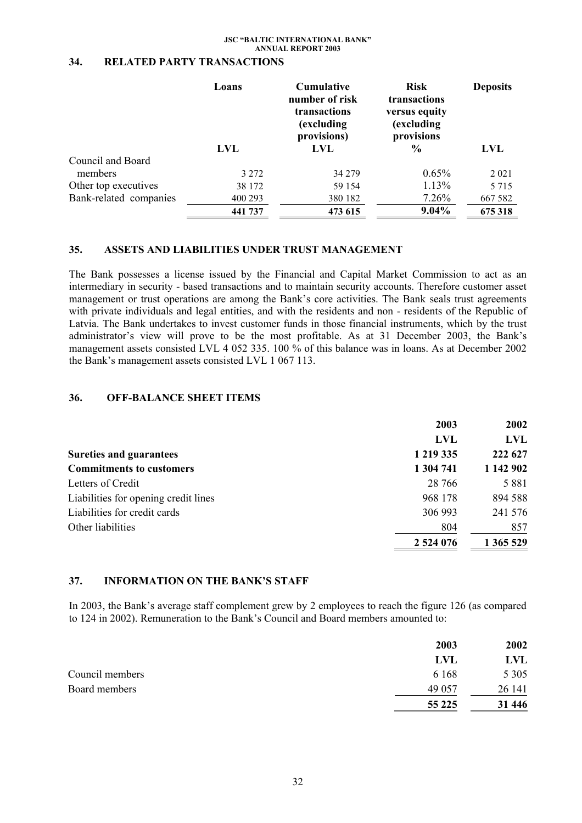### **34. RELATED PARTY TRANSACTIONS**

|                        | <b>Cumulative</b><br>Loans<br>number of risk<br>transactions<br>(excluding)<br>provisions)<br>LVL<br>LVL |         | <b>Risk</b><br>transactions<br>versus equity<br>(excluding<br>provisions<br>$\frac{6}{9}$ | <b>Deposits</b><br>LVL |  |
|------------------------|----------------------------------------------------------------------------------------------------------|---------|-------------------------------------------------------------------------------------------|------------------------|--|
| Council and Board      |                                                                                                          |         |                                                                                           |                        |  |
| members                | 3 2 7 2                                                                                                  | 34 279  | $0.65\%$                                                                                  | 2 0 2 1                |  |
| Other top executives   | 38 172                                                                                                   | 59 154  | 1.13%                                                                                     | 5 7 1 5                |  |
| Bank-related companies | 400 293                                                                                                  | 380 182 | 7.26%                                                                                     | 667 582                |  |
|                        | 441 737                                                                                                  | 473 615 | $9.04\%$                                                                                  | 675 318                |  |

### **35. ASSETS AND LIABILITIES UNDER TRUST MANAGEMENT**

The Bank possesses a license issued by the Financial and Capital Market Commission to act as an intermediary in security - based transactions and to maintain security accounts. Therefore customer asset management or trust operations are among the Bank's core activities. The Bank seals trust agreements with private individuals and legal entities, and with the residents and non - residents of the Republic of Latvia. The Bank undertakes to invest customer funds in those financial instruments, which by the trust administrator's view will prove to be the most profitable. As at 31 December 2003, the Bank's management assets consisted LVL 4 052 335. 100 % of this balance was in loans. As at December 2002 the Bank's management assets consisted LVL 1 067 113.

### **36. OFF-BALANCE SHEET ITEMS**

|                                              | 2003       | 2002       |
|----------------------------------------------|------------|------------|
|                                              | <b>LVL</b> | <b>LVL</b> |
| 1 219 335<br><b>Sureties and guarantees</b>  |            | 222 627    |
| <b>Commitments to customers</b><br>1 304 741 |            | 1 142 902  |
| Letters of Credit                            | 28 766     | 5 8 8 1    |
| Liabilities for opening credit lines         | 968 178    | 894 588    |
| Liabilities for credit cards                 | 306 993    | 241 576    |
| Other liabilities                            | 804        | 857        |
| 2 524 076                                    |            | 1 365 529  |

### **37. INFORMATION ON THE BANK'S STAFF**

In 2003, the Bank's average staff complement grew by 2 employees to reach the figure 126 (as compared to 124 in 2002). Remuneration to the Bank's Council and Board members amounted to:

|                 | 2003       | 2002    |
|-----------------|------------|---------|
|                 | <b>LVL</b> | LVL     |
| Council members | 6 1 6 8    | 5 3 0 5 |
| Board members   | 49 057     | 26 14 1 |
|                 | 55 2 2 5   | 31 446  |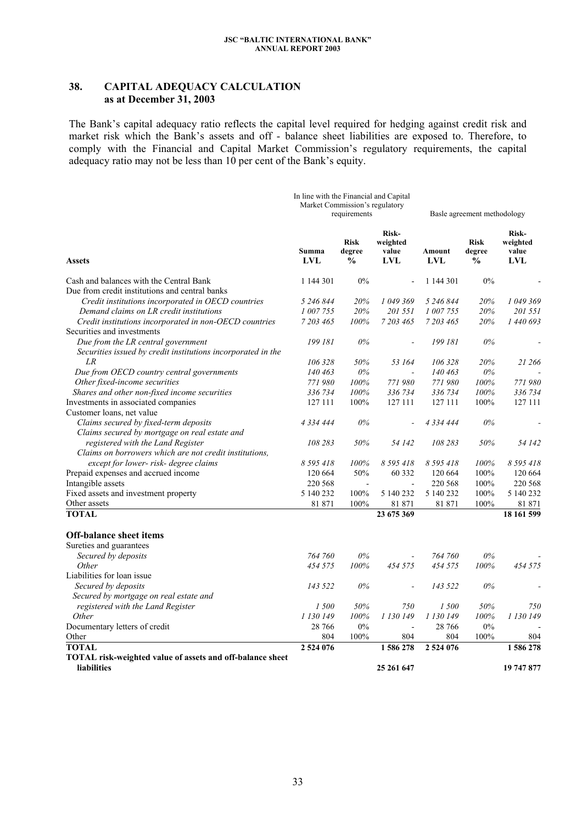### **38. CAPITAL ADEQUACY CALCULATION as at December 31, 2003**

The Bank's capital adequacy ratio reflects the capital level required for hedging against credit risk and market risk which the Bank's assets and off - balance sheet liabilities are exposed to. Therefore, to comply with the Financial and Capital Market Commission's regulatory requirements, the capital adequacy ratio may not be less than  $10$  per cent of the Bank's equity.

|                                                                                                    | In line with the Financial and Capital<br>Market Commission's regulatory<br>requirements |                                        |                                          | Basle agreement methodology |                                        |                                          |
|----------------------------------------------------------------------------------------------------|------------------------------------------------------------------------------------------|----------------------------------------|------------------------------------------|-----------------------------|----------------------------------------|------------------------------------------|
| <b>Assets</b>                                                                                      | Summa<br><b>LVL</b>                                                                      | <b>Risk</b><br>degree<br>$\frac{0}{0}$ | Risk-<br>weighted<br>value<br><b>LVL</b> | Amount<br>LVL               | <b>Risk</b><br>degree<br>$\frac{0}{0}$ | Risk-<br>weighted<br>value<br><b>LVL</b> |
| Cash and balances with the Central Bank                                                            | 1 144 301                                                                                | 0%                                     |                                          | 1 144 301                   | 0%                                     |                                          |
| Due from credit institutions and central banks                                                     |                                                                                          |                                        |                                          |                             |                                        |                                          |
| Credit institutions incorporated in OECD countries                                                 | 5 246 844                                                                                | 20%                                    | 1 049 369                                | 5 246 844                   | 20%                                    | 1 049 369                                |
| Demand claims on LR credit institutions                                                            | 1 007 755                                                                                | 20%                                    | 201 551                                  | 1 007 755                   | 20%                                    | 201 551                                  |
| Credit institutions incorporated in non-OECD countries                                             | 7 203 465                                                                                | 100%                                   | 7 203 465                                | 7 203 465                   | 20%                                    | 1 440 693                                |
| Securities and investments                                                                         |                                                                                          |                                        |                                          |                             |                                        |                                          |
| Due from the LR central government<br>Securities issued by credit institutions incorporated in the | 199 181                                                                                  | $0\%$                                  | L,                                       | 199 181                     | $0\%$                                  |                                          |
| LR                                                                                                 | 106 328                                                                                  | 50%                                    | 53 164                                   | 106 328                     | 20%                                    | 21 266                                   |
| Due from OECD country central governments                                                          | 140 463                                                                                  | $0\%$                                  |                                          | 140 463                     | $0\%$                                  |                                          |
| Other fixed-income securities                                                                      | 771980                                                                                   | 100%                                   | 771980                                   | 771980                      | 100%                                   | 771980                                   |
| Shares and other non-fixed income securities                                                       | 336 734                                                                                  | 100%                                   | 336 734                                  | 336 734                     | 100%                                   | 336 734                                  |
| Investments in associated companies                                                                | 127 111                                                                                  | 100%                                   | 127 111                                  | 127 111                     | 100%                                   | 127 111                                  |
| Customer loans, net value                                                                          |                                                                                          |                                        |                                          |                             |                                        |                                          |
| Claims secured by fixed-term deposits                                                              | 4 3 3 4 4 4 4                                                                            | $0\%$                                  |                                          | 4 3 3 4 4 4 4               | $0\%$                                  |                                          |
| Claims secured by mortgage on real estate and                                                      |                                                                                          |                                        |                                          |                             |                                        |                                          |
| registered with the Land Register                                                                  | 108 283                                                                                  | 50%                                    | 54 142                                   | 108 283                     | 50%                                    | 54 142                                   |
| Claims on borrowers which are not credit institutions,                                             |                                                                                          |                                        |                                          |                             |                                        |                                          |
| except for lower- risk- degree claims                                                              | 8 5 9 5 4 1 8                                                                            | 100%                                   | 8 5 9 5 4 1 8                            | 8 5 9 5 4 1 8               | 100%                                   | 8 5 9 5 4 1 8                            |
| Prepaid expenses and accrued income                                                                | 120 664                                                                                  | 50%                                    | 60 3 32                                  | 120 664                     | 100%                                   | 120 664                                  |
| Intangible assets                                                                                  | 220 568                                                                                  |                                        | $\blacksquare$                           | 220 568                     | 100%                                   | 220 568                                  |
| Fixed assets and investment property                                                               | 5 140 232                                                                                | 100%                                   | 5 140 232                                | 5 140 232                   | 100%                                   | 5 140 232                                |
| Other assets                                                                                       | 81 871                                                                                   | 100%                                   | 81 871                                   | 81 871                      | 100%                                   | 81 871                                   |
| <b>TOTAL</b>                                                                                       |                                                                                          |                                        | 23 675 369                               |                             |                                        | 18 161 599                               |
| <b>Off-balance sheet items</b>                                                                     |                                                                                          |                                        |                                          |                             |                                        |                                          |
| Sureties and guarantees                                                                            |                                                                                          |                                        |                                          |                             |                                        |                                          |
| Secured by deposits                                                                                | 764 760                                                                                  | 0%                                     |                                          | 764 760                     | $0\%$                                  |                                          |
| Other                                                                                              | 454 575                                                                                  | 100%                                   | 454 575                                  | 454 575                     | 100%                                   | 454 575                                  |
| Liabilities for loan issue                                                                         |                                                                                          |                                        |                                          |                             |                                        |                                          |
| Secured by deposits                                                                                | 143 522                                                                                  | $0\%$                                  |                                          | 143 522                     | $0\%$                                  |                                          |
| Secured by mortgage on real estate and                                                             |                                                                                          |                                        |                                          |                             |                                        |                                          |
| registered with the Land Register                                                                  | 1500                                                                                     | 50%                                    | 750                                      | 1 500                       | 50%                                    | 750                                      |
| <i>Other</i>                                                                                       | 1 130 149                                                                                | 100%                                   | 1 130 149                                | 1 130 149                   | 100%                                   | 1 130 149                                |
| Documentary letters of credit                                                                      | 28 766                                                                                   | $0\%$                                  | $\blacksquare$                           | 28 766                      | $0\%$                                  |                                          |
| Other                                                                                              | 804                                                                                      | 100%                                   | 804                                      | 804                         | 100%                                   | 804                                      |
| <b>TOTAL</b>                                                                                       | 2 524 076                                                                                |                                        | 1586278                                  | 2 524 076                   |                                        | 1586278                                  |
| TOTAL risk-weighted value of assets and off-balance sheet<br><b>liabilities</b>                    |                                                                                          |                                        | 25 261 647                               |                             |                                        | 19 747 877                               |